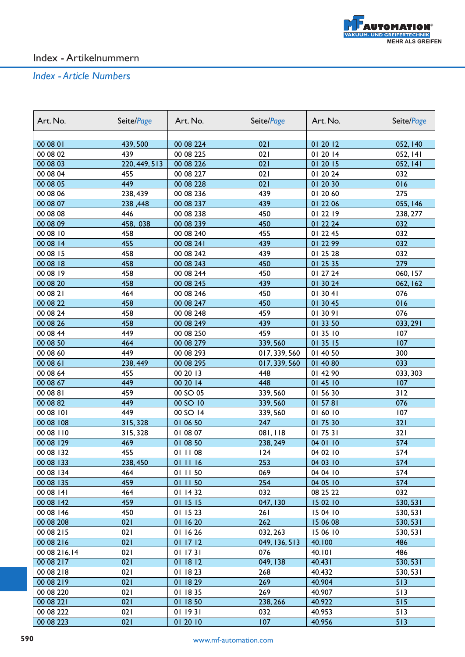

| Art. No.     | Seite/Page      | Art. No.   | Seite/Page    | Art. No. | Seite/Page |
|--------------|-----------------|------------|---------------|----------|------------|
|              |                 |            |               |          |            |
| 00 08 01     | 439,500         | 00 08 224  | 021           | 01 20 12 | 052, 140   |
| 00 08 02     | 439             | 00 08 225  | 021           | 01 20 14 | 052, 141   |
| 00 08 03     | 220, 449, 513   | 00 08 226  | 021           | 01 20 15 | 052, 141   |
| 00 08 04     | 455             | 00 08 227  | 021           | 01 20 24 | 032        |
| 00 08 05     | 449             | 00 08 228  | 021           | 01 20 30 | 016        |
| 00 08 06     | 238, 439        | 00 08 236  | 439           | 01 20 60 | 275        |
| 00 08 07     | 238,448         | 00 08 237  | 439           | 01 22 06 | 055, 146   |
| 00 08 08     | 446             | 00 08 238  | 450           | 01 22 19 | 238, 277   |
| 00 08 09     | 458, 038        | 00 08 239  | 450           | 01 22 24 | 032        |
| 00 08 10     | 458             | 00 08 240  | 455           | 01 22 45 | 032        |
| 00 08 14     | 455             | 00 08 24 l | 439           | 01 22 99 | 032        |
| 00 08 15     | 458             | 00 08 242  | 439           | 01 25 28 | 032        |
| 00 08 18     | 458             | 00 08 243  | 450           | 01 25 35 | 279        |
| 00 08 19     | 458             | 00 08 244  | 450           | 01 27 24 | 060, 157   |
| 00 08 20     | 458             | 00 08 245  | 439           | 01 30 24 | 062, 162   |
| 00 08 21     | 464             | 00 08 246  | 450           | 01 30 41 | 076        |
| 00 08 22     | 458             | 00 08 247  | 450           | 01 30 45 | 016        |
| 00 08 24     | 458             | 00 08 248  | 459           | 01 30 91 | 076        |
| 00 08 26     | 458             | 00 08 249  | 439           | 01 33 50 | 033, 291   |
| 00 08 44     | 449             | 00 08 250  | 459           | 01 35 10 | 107        |
| 00 08 50     | 464             | 00 08 279  | 339, 560      | 01 35 15 | 107        |
| 00 08 60     | 449             | 00 08 293  | 017, 339, 560 | 01 40 50 | 300        |
| 00 08 61     | 238, 449        | 00 08 295  | 017, 339, 560 | 01 40 80 | 033        |
| 00 08 64     | 455             | 00 20 13   | 448           | 01 42 90 | 033, 303   |
| 00 08 67     | 449             | 00 20 14   | 448           | 01 45 10 | 107        |
| 00 08 81     | 459             | 00 SO 05   | 339, 560      | 01 56 30 | 312        |
| 00 08 82     | 449             | 00 SO 10   | 339, 560      | 01 57 81 | 076        |
| 00 08 101    | 449             | 00 SO 14   | 339, 560      | 01 60 10 | 107        |
| 00 08 108    | 315, 328        | 01 06 50   | 247           | 01 75 30 | 321        |
| 00 08 110    | 315, 328        | 01 08 07   | 081,118       | 01 75 31 | 321        |
| 00 08 129    | 469             | 01 08 50   | 238, 249      | 04 01 10 | 574        |
| 00 08 132    | 455             | 01 11 08   | 124           | 04 02 10 | 574        |
| 00 08 133    | <u>238, 450</u> | 01 11 16   | 253           | 04 03 10 | 574        |
| 00 08 134    | 464             | 01 11 50   | 069           | 04 04 10 | 574        |
| 00 08 135    | 459             | 01 11 50   | 254           | 04 05 10 | 574        |
| 00 08 141    | 464             | 01 14 32   | 032           | 08 25 22 | 032        |
| 00 08 142    | 459             | 01 15 15   | 047, 130      | 15 02 10 | 530, 531   |
| 00 08 146    | 450             | 01 15 23   | 261           | 15 04 10 | 530, 531   |
| 00 08 208    | 021             | 01 16 20   | 262           | 15 06 08 | 530, 531   |
| 00 08 215    | 021             | 01 16 26   | 032, 263      | 15 06 10 | 530, 531   |
| 00 08 216    | 021             | 01 17 12   | 049, 136, 513 | 40.100   | 486        |
| 00 08 216.14 | 021             | 01 17 31   | 076           | 40.101   | 486        |
| 00 08 217    | 021             | 01 18 12   | 049, 138      | 40.431   | 530, 531   |
| 00 08 218    | 021             | 01 18 23   | 268           | 40.432   | 530, 531   |
| 00 08 219    | 021             | 01 18 29   | 269           | 40.904   | 513        |
| 00 08 220    | 021             | 01 18 35   | 269           | 40.907   | 513        |
| 00 08 221    | 021             | 01 18 50   | 238, 266      | 40.922   | 515        |
| 00 08 222    | 021             | 01 19 31   | 032           | 40.953   | 513        |
| 00 08 223    | 021             | 01 20 10   | 107           | 40.956   | 513        |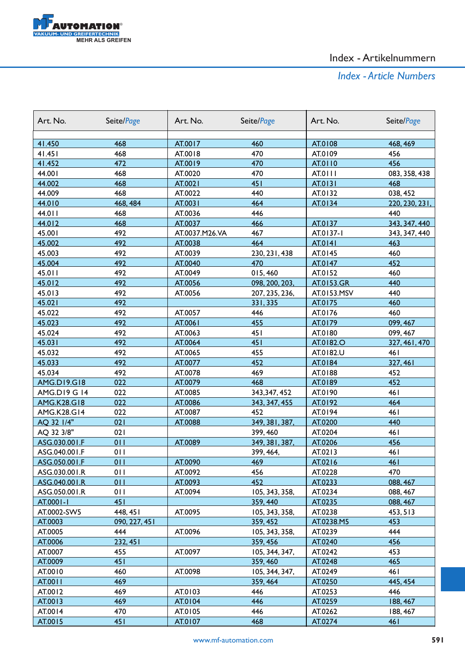

| Art. No.                          | Seite/Page      | Art. No.           | Seite/Page                | Art. No.             | Seite/Page           |
|-----------------------------------|-----------------|--------------------|---------------------------|----------------------|----------------------|
|                                   |                 |                    |                           |                      |                      |
| 41.450                            | 468             | AT.0017            | 460                       | AT.0108              | 468, 469             |
| 41.451                            | 468             | AT.0018            | 470                       | AT.0109              | 456                  |
| 41.452                            | 472             | AT.0019            | 470                       | AT.0110              | 456                  |
| 44.001                            | 468             | AT.0020            | 470                       | AT.0111              | 083, 358, 438        |
| 44.002                            | 468             | AT.0021<br>AT.0022 | 451                       | AT.0131              | 468                  |
| 44.009                            | 468             |                    | 440<br>464                | AT.0132              | 038, 452             |
| 44.010                            | 468, 484<br>468 | AT.0031            | 446                       | AT.0134              | 220, 230, 231,       |
| 44.011                            | 468             | AT.0036            | 466                       |                      | 440                  |
| 44.012<br>45.001                  | 492             | AT.0037            | 467                       | AT.0137<br>AT.0137-1 | 343, 347, 440        |
|                                   | 492             | AT.0037.M26.VA     | 464                       |                      | 343, 347, 440<br>463 |
| 45.002                            | 492             | AT.0038            |                           | AT.0141              |                      |
| 45.003                            | 492             | AT.0039            | 230, 231, 438<br>470      | AT.0145              | 460<br>452           |
| 45.004<br>45.011                  | 492             | AT.0040<br>AT.0049 |                           | AT.0147<br>AT.0152   | 460                  |
| 45.012                            | 492             |                    | 015,460<br>098, 200, 203, | AT.0153.GR           | 440                  |
|                                   | 492             | AT.0056<br>AT.0056 |                           |                      | 440                  |
| 45.013                            | 492             |                    | 207, 235, 236,            | AT.0153.MSV          | 460                  |
| 45.021<br>45.022                  | 492             | AT.0057            | 331, 335<br>446           | AT.0175<br>AT.0176   | 460                  |
|                                   | 492             |                    |                           |                      |                      |
| 45.023<br>45.024                  | 492             | AT.0061<br>AT.0063 | 455<br>451                | AT.0179<br>AT.0180   | 099, 467<br>099, 467 |
| 45.031                            | 492             |                    | 451                       |                      |                      |
|                                   |                 | AT.0064            | 455                       | AT.0182.O            | 327, 461, 470        |
| 45.032                            | 492             | AT.0065            |                           | AT.0182.U            | 461                  |
| 45.033                            | 492             | AT.0077            | 452                       | AT.0184              | 327, 461             |
| 45.034                            | 492<br>022      | AT.0078            | 469                       | AT.0188              | 452<br>452           |
| <b>AMG.D19.G18</b>                | 022             | AT.0079            | 468                       | AT.0189              |                      |
| AMG.D19 G 14                      | 022             | AT.0085            | 343, 347, 452             | AT.0190              | 461<br>464           |
| <b>AMG.K28.G18</b><br>AMG.K28.G14 | 022             | AT.0086<br>AT.0087 | 343, 347, 455<br>452      | AT.0192<br>AT.0194   | 461                  |
| AQ 32 1/4"                        | 021             | AT.0088            | 349, 381, 387,            | AT.0200              | 440                  |
| AQ 32 3/8"                        | 021             |                    | 399, 460                  | AT.0204              | 461                  |
| ASG.030.001.F                     | 011             | AT.0089            | 349, 381, 387,            | AT.0206              | 456                  |
| ASG.040.001.F                     | 011             |                    | 399, 464,                 | AT.0213              | 461                  |
| ASG.050.001.F                     | 011             | AT.0090            | 469                       | AT.0216              | 461                  |
| ASG.030.001.R                     | 011             | AT.0092            | 456                       | AT.0228              | 470                  |
| ASG.040.001.R                     | 011             | AT.0093            | 452                       | AT.0233              | 088, 467             |
| ASG.050.001.R                     | 011             | AT.0094            | 105, 343, 358,            | AT.0234              | 088, 467             |
| AT.0001-1                         | 451             |                    | 359, 440                  | AT.0235              | 088, 467             |
| AT.0002-SW5                       | 448, 451        | AT.0095            | 105, 343, 358,            | AT.0238              | 453, 513             |
| AT.0003                           | 090, 227, 451   |                    | 359, 452                  | AT.0238.M5           | 453                  |
| AT.0005                           | 444             | AT.0096            | 105, 343, 358,            | AT.0239              | 444                  |
| AT.0006                           | 232, 451        |                    | 359, 456                  | AT.0240              | 456                  |
| AT.0007                           | 455             | AT.0097            | 105, 344, 347,            | AT.0242              | 453                  |
| AT.0009                           | 451             |                    | 359, 460                  | AT.0248              | 465                  |
| AT.0010                           | 460             | AT.0098            | 105, 344, 347,            | AT.0249              | 461                  |
| AT.0011                           | 469             |                    | 359, 464                  | AT.0250              | 445, 454             |
| AT.0012                           | 469             | AT.0103            | 446                       | AT.0253              | 446                  |
| AT.0013                           | 469             | AT.0104            | 446                       | AT.0259              | 188, 467             |
| AT.0014                           | 470             | AT.0105            | 446                       | AT.0262              | 188, 467             |
| AT.0015                           | 451             | AT.0107            | 468                       | AT.0274              | 461                  |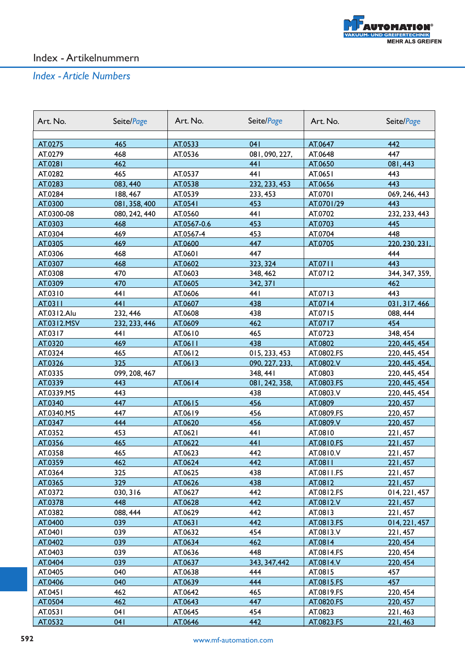

| Art. No.    | Seite/Page    | Art. No.    | Seite/Page     | Art. No.   | Seite/Page     |
|-------------|---------------|-------------|----------------|------------|----------------|
| AT.0275     | 465           | AT.0533     | 041            | AT.0647    | 442            |
| AT.0279     | 468           | AT.0536     | 081, 090, 227, | AT.0648    | 447            |
| AT.0281     | 462           |             | 441            | AT.0650    | 081,443        |
| AT.0282     | 465           | AT.0537     | 441            | AT.0651    | 443            |
| AT.0283     | 083, 440      | AT.0538     | 232, 233, 453  | AT.0656    | 443            |
| AT.0284     | 188, 467      | AT.0539     | 233, 453       | AT.0701    | 069, 246, 443  |
| AT.0300     | 081, 358, 400 | AT.0541     | 453            | AT.0701/29 | 443            |
| AT.0300-08  | 080, 242, 440 | AT.0560     | 441            | AT.0702    | 232, 233, 443  |
| AT.0303     | 468           | AT.0567-0.6 | 453            | AT.0703    | 445            |
| AT.0304     | 469           | AT.0567-4   | 453            | AT.0704    | 448            |
| AT.0305     | 469           | AT.0600     | 447            | AT.0705    | 220, 230, 231, |
| AT.0306     | 468           | AT.0601     | 447            |            | 444            |
| AT.0307     | 468           | AT.0602     | 323, 324       | AT.0711    | 443            |
| AT.0308     | 470           | AT.0603     | 348, 462       | AT.0712    | 344, 347, 359, |
| AT.0309     | 470           | AT.0605     | 342, 371       |            | 462            |
| AT.0310     | 441           | AT.0606     | 441            | AT.0713    | 443            |
| AT.0311     | 441           | AT.0607     | 438            | AT.0714    | 031, 317, 466  |
| AT.0312.Alu | 232, 446      | AT.0608     | 438            | AT.0715    | 088, 444       |
| AT.0312.MSV | 232, 233, 446 | AT.0609     | 462            | AT.0717    | 454            |
| AT.0317     | 44 I          | AT.0610     | 465            | AT.0723    | 348, 454       |
| AT.0320     | 469           | AT.0611     | 438            | AT.0802    | 220, 445, 454  |
| AT.0324     | 465           | AT.0612     | 015, 233, 453  | AT.0802.FS | 220, 445, 454  |
| AT.0326     | 325           | AT.0613     | 090, 227, 233, | AT.0802.V  | 220, 445, 454, |
| AT.0335     | 099, 208, 467 |             | 348, 441       | AT.0803    | 220, 445, 454  |
| AT.0339     | 443           | AT.0614     | 081, 242, 358, | AT.0803.FS | 220, 445, 454  |
| AT.0339.M5  | 443           |             | 438            | AT.0803.V  | 220, 445, 454  |
| AT.0340     | 447           | AT.0615     | 456            | AT.0809    | 220, 457       |
| AT.0340.M5  | 447           | AT.0619     | 456            | AT.0809.FS | 220, 457       |
| AT.0347     | 444           | AT.0620     | 456            | AT.0809.V  | 220, 457       |
| AT.0352     | 453           | AT.0621     | 441            | AT.0810    | 221,457        |
| AT.0356     | 465           | AT.0622     | 441            | AT.0810.FS | 221,457        |
| AT.0358     | 465           | AT.0623     | 442            | AT.0810.V  | 221,457        |
| AT.0359     | 462           | AT.0624     | 442            | AT.0811    | 221,457        |
| AT.0364     | 325           | AT.0625     | 438            | AT.0811.FS | 221,457        |
| AT.0365     | 329           | AT.0626     | 438            | AT.0812    | 221,457        |
| AT.0372     | 030, 316      | AT.0627     | 442            | AT.0812.FS | 014, 221, 457  |
| AT.0378     | 448           | AT.0628     | 442            | AT.0812.V  | 221,457        |
| AT.0382     | 088, 444      | AT.0629     | 442            | AT.0813    | 221,457        |
| AT.0400     | 039           | AT.0631     | 442            | AT.0813.FS | 014, 221, 457  |
| AT.0401     | 039           | AT.0632     | 454            | AT.0813.V  | 221,457        |
| AT.0402     | 039           | AT.0634     | 462            | AT.0814    | 220, 454       |
| AT.0403     | 039           | AT.0636     | 448            | AT.0814.FS | 220, 454       |
| AT.0404     | 039           | AT.0637     | 343, 347, 442  | AT.0814.V  | 220, 454       |
| AT.0405     | 040           | AT.0638     | 444            | AT.0815    | 457            |
| AT.0406     | 040           | AT.0639     | 444            | AT.0815.FS | 457            |
| AT.0451     | 462           | AT.0642     | 465            | AT.0819.FS | 220, 454       |
| AT.0504     | 462           | AT.0643     | 447            | AT.0820.FS | 220, 457       |
| AT.0531     | 041           | AT.0645     | 454            | AT.0823    | 221,463        |
| AT.0532     | 041           | AT.0646     | 442            | AT.0823.FS | 221,463        |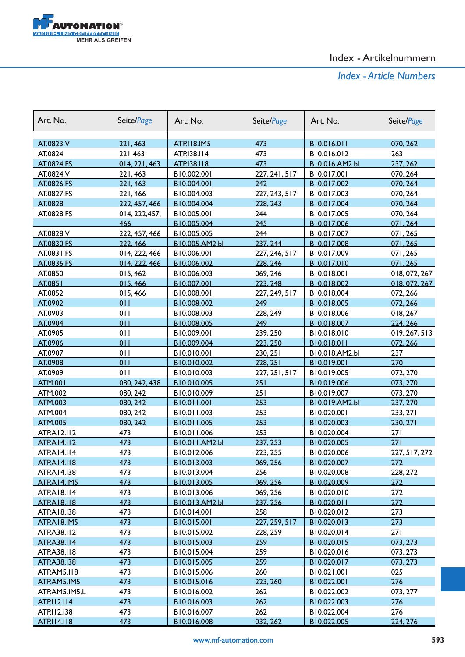

| Art. No.              | Seite/Page                      | Art. No.                   | Seite/Page                | Art. No.                   | Seite/Page           |
|-----------------------|---------------------------------|----------------------------|---------------------------|----------------------------|----------------------|
|                       |                                 |                            |                           |                            |                      |
| AT.0823.V             | 221,463                         | <b>ATP.II8.IM5</b>         | 473                       | B10.016.011                | 070, 262             |
| AT.0824               | 221 463                         | ATP.I38.II4                | 473                       | B10.016.012                | 263                  |
| AT.0824.FS            | 014, 221, 463                   | ATP.138.118                | 473                       | B10.016.AM2.bl             | 237, 262             |
| AT.0824.V             | 221,463                         | B10.002.001                | 227, 241, 517             | B10.017.001                | 070, 264             |
| AT.0826.FS            | 221,463                         | B10.004.001<br>B10.004.003 | 242                       | B10.017.002                | 070, 264             |
| AT.0827.FS            | 221,466                         |                            | 227, 243, 517<br>228, 243 | B10.017.003<br>B10.017.004 | 070, 264             |
| AT.0828<br>AT.0828.FS | 222, 457, 466<br>014, 222, 457, | B10.004.004<br>B10.005.001 | 244                       | B10.017.005                | 070, 264             |
|                       | 466                             | B10.005.004                | 245                       | B10.017.006                | 070, 264<br>071,264  |
| AT.0828.V             | 222, 457, 466                   | B10.005.005                | 244                       | B10.017.007                | 071,265              |
| AT.0830.FS            | 222, 466                        | B10.005.AM2.bl             | 237, 244                  | B10.017.008                | 071.265              |
| AT.0831.FS            | 014, 222, 466                   | B10.006.001                | 227, 246, 517             | B10.017.009                |                      |
| AT.0836.FS            | 014, 222, 466                   | B10.006.002                | 228, 246                  | B10.017.010                | 071,265<br>071,265   |
| AT.0850               | 015,462                         | B10.006.003                | 069, 246                  | B10.018.001                | 018, 072, 267        |
| AT.0851               | 015,466                         | B10.007.001                | 223, 248                  | B10.018.002                | 018, 072, 267        |
| AT.0852               |                                 | B10.008.001                | 227, 249, 517             | B10.018.004                |                      |
| AT.0902               | 015,466<br>011                  |                            | 249                       |                            | 072, 266<br>072, 266 |
| AT.0903               | 011                             | B10.008.002<br>B10.008.003 |                           | B10.018.005<br>B10.018.006 |                      |
| AT.0904               | 011                             | B10.008.005                | 228, 249<br>249           | B10.018.007                | 018, 267<br>224, 266 |
| AT.0905               | 011                             | B10.009.001                | 239, 250                  | B10.018.010                | 019, 267, 513        |
| AT.0906               | 011                             | B10.009.004                | 223, 250                  | B10.018.011                | 072, 266             |
| AT.0907               | 011                             | B10.010.001                | 230, 251                  | B10.018.AM2.bl             | 237                  |
| AT.0908               | 011                             | B10.010.002                | 228, 251                  | B10.019.001                | 270                  |
| AT.0909               | 011                             | B10.010.003                |                           | B10.019.005                | 072, 270             |
| <b>ATM.001</b>        | 080, 242, 438                   | B10.010.005                | 227, 251, 517<br>251      | B10.019.006                | 073, 270             |
| ATM.002               | 080, 242                        | B10.010.009                | 251                       | B10.019.007                | 073, 270             |
| <b>ATM.003</b>        | 080, 242                        | B10.011.001                | 253                       | B10.019.AM2.bl             | 237, 270             |
| ATM.004               | 080, 242                        | B10.011.003                | 253                       | B10.020.001                | 233, 271             |
| <b>ATM.005</b>        | 080, 242                        | B10.011.005                | 253                       | B10.020.003                | 230, 271             |
| ATP.A12.112           | 473                             | B10.011.006                | 253                       | B10.020.004                | 271                  |
| <b>ATPA14.112</b>     | 473                             | B10.011.AM2.bl             | 237, 253                  | B10.020.005                | 271                  |
| ATP.A14.114           | 473                             | B10.012.006                | 223, 255                  | B10.020.006                | 227, 517, 272        |
| <b>ATPA14.118</b>     | 473                             | B10.013.003                | 069, 256                  | B10.020.007                | 272                  |
| ATP.A14.138           | 473                             | B10.013.004                | 256                       | B10.020.008                | 228, 272             |
| <b>ATPA14.IM5</b>     | 473                             | B10.013.005                | 069, 256                  | B10.020.009                | 272                  |
| ATP.A18.114           | 473                             | B10.013.006                | 069, 256                  | B10.020.010                | 272                  |
| <b>ATP.A18.118</b>    | 473                             | B10.013.AM2.bl             | 237, 256                  | B10.020.011                | 272                  |
| ATP.A18.138           | 473                             | B10.014.001                | 258                       | B10.020.012                | 273                  |
| ATP.A18.IM5           | 473                             | B10.015.001                | 227, 259, 517             | B10.020.013                | 273                  |
| ATP.A38.II2           | 473                             | B10.015.002                | 228, 259                  | B10.020.014                | 271                  |
| ATP.A38.II4           | 473                             | B10.015.003                | 259                       | B10.020.015                | 073, 273             |
| ATP.A38.II8           | 473                             | B10.015.004                | 259                       | B10.020.016                | 073, 273             |
| ATP.A38.I38           | 473                             | B10.015.005                | 259                       | B10.020.017                | 073, 273             |
| ATP.AM5.II8           | 473                             | B10.015.006                | 260                       | B10.021.001                | 025                  |
| ATP.AM5.IM5           | 473                             | B10.015.016                | 223, 260                  | B10.022.001                | 276                  |
| ATP.AM5.IM5.L         | 473                             | B10.016.002                | 262                       | B10.022.002                | 073, 277             |
| ATP.II2.II4           | 473                             | B10.016.003                | 262                       | B10.022.003                | 276                  |
| ATP.II2.138           | 473                             | B10.016.007                | 262                       | B10.022.004                | 276                  |
| ATP.I14.118           | 473                             | B10.016.008                | 032, 262                  | B10.022.005                | 224, 276             |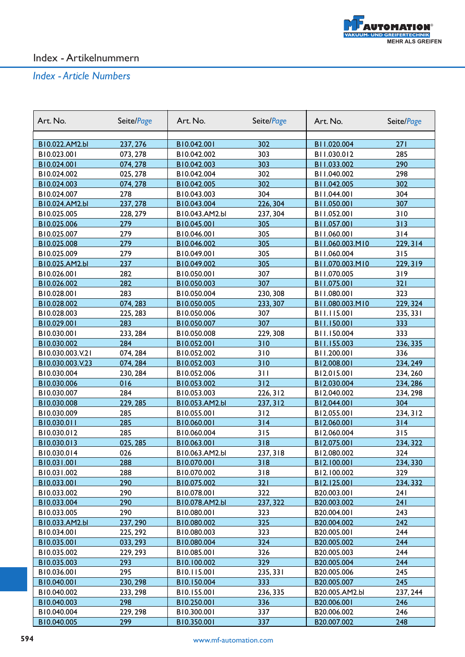

| B10.022.AM2.bl<br>237, 276<br>B10.042.001<br>302<br>B11.020.004<br>271<br>B11.030.012<br>B10.023.001<br>073, 278<br>B10.042.002<br>303<br>285<br>303<br>B11.033.002<br>290<br>B10.024.001<br>074, 278<br>B10.042.003<br>302<br>298<br>B10.024.002<br>025, 278<br>B10.042.004<br>B11.040.002<br>302<br>074, 278<br>302<br>B10.024.003<br>B10.042.005<br>B11.042.005<br>278<br>304<br>B10.024.007<br>B10.043.003<br>B11.044.001<br>304 | Art. No. |
|--------------------------------------------------------------------------------------------------------------------------------------------------------------------------------------------------------------------------------------------------------------------------------------------------------------------------------------------------------------------------------------------------------------------------------------|----------|
|                                                                                                                                                                                                                                                                                                                                                                                                                                      |          |
|                                                                                                                                                                                                                                                                                                                                                                                                                                      |          |
|                                                                                                                                                                                                                                                                                                                                                                                                                                      |          |
|                                                                                                                                                                                                                                                                                                                                                                                                                                      |          |
|                                                                                                                                                                                                                                                                                                                                                                                                                                      |          |
|                                                                                                                                                                                                                                                                                                                                                                                                                                      |          |
|                                                                                                                                                                                                                                                                                                                                                                                                                                      |          |
| 237, 278<br>226, 304<br>307<br>B10.024.AM2.bl<br>B11.050.001<br>B10.043.004                                                                                                                                                                                                                                                                                                                                                          |          |
| B10.025.005<br>228, 279<br>B10.043.AM2.bl<br>237, 304<br>B11.052.001<br>310                                                                                                                                                                                                                                                                                                                                                          |          |
| 279<br>305<br>313<br>B10.025.006<br>B11.057.001<br>B10.045.001                                                                                                                                                                                                                                                                                                                                                                       |          |
| B10.025.007<br>279<br>B10.046.001<br>305<br>B11.060.001<br>314                                                                                                                                                                                                                                                                                                                                                                       |          |
| 279<br>305<br>B11.060.003.M10<br>229, 314<br>B10.025.008<br>B10.046.002                                                                                                                                                                                                                                                                                                                                                              |          |
| 279<br>315<br>B10.025.009<br>B10.049.001<br>305<br>B11.060.004                                                                                                                                                                                                                                                                                                                                                                       |          |
| 237<br>305<br>229, 319<br>B10.025.AM2.bl<br>B11.070.003.M10<br>B10.049.002                                                                                                                                                                                                                                                                                                                                                           |          |
| 282<br>307<br>B10.026.001<br>B10.050.001<br>B11.070.005<br>319                                                                                                                                                                                                                                                                                                                                                                       |          |
| 282<br>307<br>321<br>B10.026.002<br>B10.050.003<br>B11.075.001                                                                                                                                                                                                                                                                                                                                                                       |          |
| 283<br>B10.028.001<br>B10.050.004<br>230, 308<br>B11.080.001<br>323                                                                                                                                                                                                                                                                                                                                                                  |          |
| 074, 283<br>B10.028.002<br>B10.050.005<br>233, 307<br>B11.080.003.M10<br>229, 324                                                                                                                                                                                                                                                                                                                                                    |          |
| B10.028.003<br>225, 283<br>B10.050.006<br>307<br>B11.115.001<br>235, 331                                                                                                                                                                                                                                                                                                                                                             |          |
| B10.029.001<br>283<br>B10.050.007<br>307<br>B11.150.001<br>333                                                                                                                                                                                                                                                                                                                                                                       |          |
| 233, 284<br>B10.030.001<br>B10.050.008<br>229, 308<br>B11.150.004<br>333                                                                                                                                                                                                                                                                                                                                                             |          |
| 284<br>310<br>236, 335<br>B10.030.002<br>B10.052.001<br>B11.155.003                                                                                                                                                                                                                                                                                                                                                                  |          |
| B10.030.003.V.21<br>074, 284<br>B10.052.002<br>310<br>B11.200.001<br>336                                                                                                                                                                                                                                                                                                                                                             |          |
| 310<br>234, 249<br>B10.030.003.V.23<br>074, 284<br>B10.052.003<br>B12.008.001                                                                                                                                                                                                                                                                                                                                                        |          |
| B10.030.004<br>230, 284<br>B10.052.006<br>311<br>B12.015.001<br>234, 260                                                                                                                                                                                                                                                                                                                                                             |          |
| 016<br>312<br>B12.030.004<br>B10.030.006<br>B10.053.002<br>234, 286                                                                                                                                                                                                                                                                                                                                                                  |          |
| B10.030.007<br>284<br>B10.053.003<br>B12.040.002<br>226, 312<br>234, 298                                                                                                                                                                                                                                                                                                                                                             |          |
| 229, 285<br>304<br>B10.030.008<br>B10.053.AM2.bl<br>237, 312<br>B12.044.001                                                                                                                                                                                                                                                                                                                                                          |          |
| 285<br>312<br>B10.030.009<br>B10.055.001<br>B12.055.001<br>234, 312                                                                                                                                                                                                                                                                                                                                                                  |          |
| 285<br>314<br>B10.030.011<br>B10.060.001<br>B12.060.001<br>314                                                                                                                                                                                                                                                                                                                                                                       |          |
| 285<br>B10.030.012<br>B10.060.004<br>315<br>B12.060.004<br>315                                                                                                                                                                                                                                                                                                                                                                       |          |
| 318<br>025, 285<br>234, 322<br>B10.030.013<br>B10.063.001<br>B12.075.001                                                                                                                                                                                                                                                                                                                                                             |          |
| B10.030.014<br>026<br>B10.063.AM2.bl<br>237, 318<br>B12.080.002<br>324                                                                                                                                                                                                                                                                                                                                                               |          |
| <u>B10.031.001</u><br>288<br>B10.070.001<br>318<br>B12.100.001<br><u>234, 330 </u>                                                                                                                                                                                                                                                                                                                                                   |          |
| 288<br>B10.031.002<br>B10.070.002<br>318<br>B12.100.002<br>329                                                                                                                                                                                                                                                                                                                                                                       |          |
| 290<br>321<br>234, 332<br>B10.033.001<br>B10.075.002<br>B12.125.001                                                                                                                                                                                                                                                                                                                                                                  |          |
| 290<br>B10.033.002<br>B10.078.001<br>322<br>241<br>B20.003.001                                                                                                                                                                                                                                                                                                                                                                       |          |
| 290<br>237, 322<br>241<br>B10.033.004<br>B10.078.AM2.bl<br>B20.003.002                                                                                                                                                                                                                                                                                                                                                               |          |
| 290<br>B10.080.001<br>323<br>243<br>B10.033.005<br>B20.004.001                                                                                                                                                                                                                                                                                                                                                                       |          |
| 325<br>B10.033.AM2.bl<br>237, 290<br>B10.080.002<br>B20.004.002<br>242                                                                                                                                                                                                                                                                                                                                                               |          |
| B10.080.003<br>323<br>B20.005.001<br>244<br>B10.034.001<br>225, 292                                                                                                                                                                                                                                                                                                                                                                  |          |
| 244<br>B10.035.001<br>033, 293<br>B10.080.004<br>324<br>B20.005.002                                                                                                                                                                                                                                                                                                                                                                  |          |
| B10.085.001<br>326<br>B20.005.003<br>244<br>B10.035.002<br>229, 293                                                                                                                                                                                                                                                                                                                                                                  |          |
| 293<br>329<br>B20.005.004<br>244<br>B10.035.003<br>B10.100.002                                                                                                                                                                                                                                                                                                                                                                       |          |
| 295<br>B10.115.001<br>B20.005.006<br>245<br>B10.036.001<br>235, 331                                                                                                                                                                                                                                                                                                                                                                  |          |
| 230, 298<br>333<br>245<br>B10.040.001<br>B10.150.004<br>B20.005.007                                                                                                                                                                                                                                                                                                                                                                  |          |
| 233, 298<br>B10.155.001<br>B20.005.AM2.bl<br>B10.040.002<br>236, 335<br>237, 244                                                                                                                                                                                                                                                                                                                                                     |          |
| 298<br>B20.006.001<br>B10.040.003<br>B10.250.001<br>336<br>246                                                                                                                                                                                                                                                                                                                                                                       |          |
| B10.040.004<br>B10.300.001<br>B20.006.002<br>246<br>229, 298<br>337                                                                                                                                                                                                                                                                                                                                                                  |          |
| B10.040.005<br>299<br>B10.350.001<br>337<br>B20.007.002<br>248                                                                                                                                                                                                                                                                                                                                                                       |          |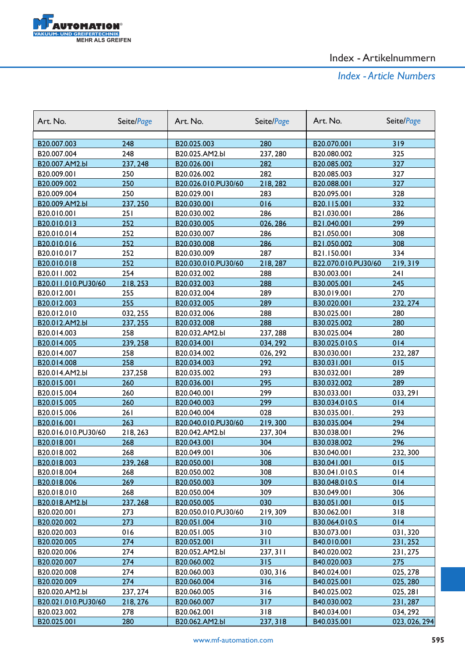

| Art. No.            | Seite/Page | Art. No.            | Seite/Page | Art. No.            | Seite/Page    |
|---------------------|------------|---------------------|------------|---------------------|---------------|
|                     |            |                     |            |                     |               |
| B20.007.003         | 248        | B20.025.003         | 280        | B20.070.001         | 319           |
| B20.007.004         | 248        | B20.025.AM2.bl      | 237, 280   | B20.080.002         | 325           |
| B20.007.AM2.bl      | 237, 248   | B20.026.001         | 282        | B20.085.002         | 327           |
| B20.009.001         | 250        | B20.026.002         | 282        | B20.085.003         | 327           |
| B20.009.002         | 250        | B20.026.010.PU30/60 | 218,282    | B20.088.001         | 327           |
| B20.009.004         | 250        | B20.029.001         | 283        | B20.095.001         | 328           |
| B20.009.AM2.bl      | 237, 250   | B20.030.001         | 016        | B20.115.001         | 332           |
| B20.010.001         | 251        | B20.030.002         | 286        | B21.030.001         | 286           |
| B20.010.013         | 252        | B20.030.005         | 026, 286   | B21.040.001         | 299           |
| B20.010.014         | 252        | B20.030.007         | 286        | B21.050.001         | 308           |
| B20.010.016         | 252        | B20.030.008         | 286        | B21.050.002         | 308           |
| B20.010.017         | 252        | B20.030.009         | 287        | B21.150.001         | 334           |
| B20.010.018         | 252        | B20.030.010.PU30/60 | 218, 287   | B22.070.010.PU30/60 | 219, 319      |
| B20.011.002         | 254        | B20.032.002         | 288        | B30.003.001         | 241           |
| B20.011.010.PU30/60 | 218, 253   | B20.032.003         | 288        | B30.005.001         | 245           |
| B20.012.001         | 255        | B20.032.004         | 289        | B30.019.001         | 270           |
| B20.012.003         | 255        | B20.032.005         | 289        | B30.020.001         | 232, 274      |
| B20.012.010         | 032, 255   | B20.032.006         | 288        | B30.025.001         | 280           |
| B20.012.AM2.bl      | 237, 255   | B20.032.008         | 288        | B30.025.002         | 280           |
| B20.014.003         | 258        | B20.032.AM2.bl      | 237, 288   | B30.025.004         | 280           |
| B20.014.005         | 239, 258   | B20.034.001         | 034, 292   | B30.025.010.S       | 014           |
| B20.014.007         | 258        | B20.034.002         | 026, 292   | B30.030.001         | 232, 287      |
| B20.014.008         | 258        | B20.034.003         | 292        | B30.031.001         | 015           |
| B20.014.AM2.bl      | 237,258    | B20.035.002         | 293        | B30.032.001         | 289           |
| B20.015.001         | 260        | B20.036.001         | 295        | B30.032.002         | 289           |
| B20.015.004         | 260        | B20.040.001         | 299        | B30.033.001         | 033, 291      |
| B20.015.005         | 260        | B20.040.003         | 299        | B30.034.010.S       | 014           |
| B20.015.006         | 261        | B20.040.004         | 028        | B30.035.001.        | 293           |
| B20.016.001         | 263        | B20.040.010.PU30/60 | 219,300    | B30.035.004         | 294           |
| B20.016.010.PU30/60 | 218, 263   | B20.042.AM2.bl      | 237, 304   | B30.038.001         | 296           |
| B20.018.001         | 268        | B20.043.001         | 304        | B30.038.002         | 296           |
| B20.018.002         | 268        | B20.049.001         | 306        | B30.040.001         | 232, 300      |
| B20.018.003         | 239, 268   | B20.050.001         | 308        | B30.041.001         | 015           |
| B20.018.004         | 268        | B20.050.002         | 308        | B30.041.010.S       | 014           |
| B20.018.006         | 269        | B20.050.003         | 309        | B30.048.010.S       | 014           |
| B20.018.010         | 268        | B20.050.004         | 309        | B30.049.001         | 306           |
| B20.018.AM2.bl      | 237, 268   | B20.050.005         | 030        | B30.051.001         | 015           |
| B20.020.001         | 273        | B20.050.010.PU30/60 | 219,309    | B30.062.001         | 318           |
| B20.020.002         | 273        | B20.051.004         | 310        | B30.064.010.S       | 014           |
| B20.020.003         | 016        | B20.051.005         | 310        | B30.073.001         | 031,320       |
| B20.020.005         | 274        | B20.052.001         | 311        | B40.010.001         | 231, 252      |
| B20.020.006         | 274        | B20.052.AM2.bl      | 237, 311   | B40.020.002         | 231, 275      |
| B20.020.007         | 274        | B20.060.002         | 315        | B40.020.003         | 275           |
| B20.020.008         | 274        | B20.060.003         | 030, 316   | B40.024.001         | 025, 278      |
| B20.020.009         | 274        | B20.060.004         | 316        | B40.025.001         | 025, 280      |
| B20.020.AM2.bl      | 237, 274   | B20.060.005         | 316        | B40.025.002         | 025, 281      |
| B20.021.010.PU30/60 | 218, 276   | B20.060.007         | 317        | B40.030.002         | 231,287       |
| B20.023.002         | 278        | B20.062.001         | 318        | B40.034.001         | 034, 292      |
| B20.025.001         | 280        | B20.062.AM2.bl      | 237, 318   | B40.035.001         | 023, 026, 294 |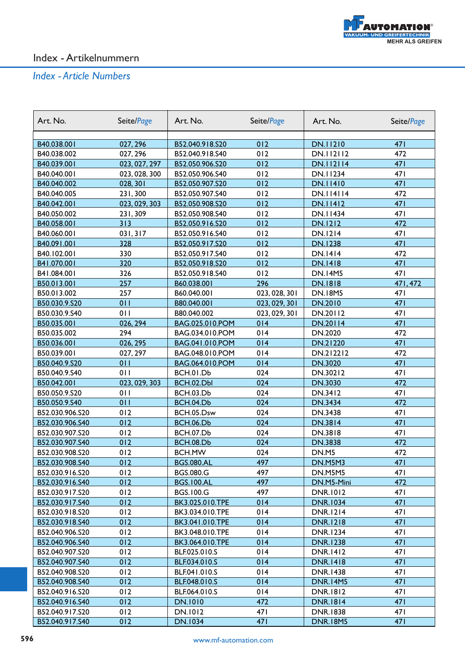

| Art. No.        | Seite/Page    | Art. No.          | Seite/Page    | Art. No.         | Seite/Page      |
|-----------------|---------------|-------------------|---------------|------------------|-----------------|
|                 |               |                   |               |                  |                 |
| B40.038.001     | 027, 296      | B52.040.918.S20   | 012           | DN.11210         | 471             |
| B40.038.002     | 027, 296      | B52.040.918.S40   | 012           | DN.112112        | 472             |
| B40.039.001     | 023, 027, 297 | B52.050.906.S20   | 012           | <b>DN.112114</b> | 471             |
| B40.040.001     | 023, 028, 300 | B52.050.906.S40   | 012           | DN.11234         | 471             |
| B40.040.002     | 028, 301      | B52.050.907.S20   | 012           | <b>DN.11410</b>  | 471             |
| B40.040.005     | 231,300       | B52.050.907.S40   | 012           | <b>DN.114114</b> | 472             |
| B40.042.001     | 023, 029, 303 | B52.050.908.S20   | 012           | <b>DN.11412</b>  | 471             |
| B40.050.002     | 231,309       | B52.050.908.S40   | 012           | DN.11434         | 47 <sub>1</sub> |
| B40.058.001     | 313           | B52.050.916.S20   | 012           | <b>DN.1212</b>   | 472             |
| B40.060.001     | 031, 317      | B52.050.916.S40   | 012           | <b>DN.1214</b>   | 47 I            |
| B40.091.001     | 328           | B52.050.917.S20   | 012           | <b>DN.1238</b>   | 471             |
| B40.102.001     | 330           | B52.050.917.S40   | 012           | <b>DN.1414</b>   | 472             |
| B41.070.001     | 320           | B52.050.918.S20   | 012           | <b>DN.1418</b>   | 471             |
| B41.084.001     | 326           | B52.050.918.S40   | 012           | <b>DN.14M5</b>   | 471             |
| B50.013.001     | 257           | B60.038.001       | 296           | <b>DN.1818</b>   | 471,472         |
| B50.013.002     | 257           | B60.040.001       | 023, 028, 301 | <b>DN.18M5</b>   | 47 <sub>1</sub> |
| B50.030.9.S20   | 011           | B80.040.001       | 023, 029, 301 | DN.2010          | 471             |
| B50.030.9.S40   | 011           | B80.040.002       | 023, 029, 301 | DN.20112         | 47 I            |
| B50.035.001     | 026, 294      | BAG.025.010.POM   | 014           | DN.20114         | 471             |
| B50.035.002     | 294           | BAG.034.010.POM   | 014           | DN.2020          | 472             |
| B50.036.001     | 026, 295      | BAG.041.010.POM   | 014           | DN.21220         | 471             |
| B50.039.001     | 027, 297      | BAG.048.010.POM   | 014           | DN.212212        | 472             |
| B50.040.9.S20   | 011           | BAG.064.010.POM   | 014           | DN.3020          | 471             |
| B50.040.9.S40   | 011           | BCH.01.Db         | 024           | DN.30212         | 471             |
| B50.042.001     | 023, 029, 303 | BCH.02.Dbl        | 024           | DN.3030          | 472             |
| B50.050.9.S20   | 011           | BCH.03.Db         | 024           | DN.3412          | 47 I            |
| B50.050.9.S40   | 011           | BCH.04.Db         | 024           | <b>DN.3434</b>   | 472             |
| B52.030.906.S20 | 012           | BCH.05.Dsw        | 024           | DN.3438          | 471             |
| B52.030.906.S40 | 012           | <b>BCH.06.Db</b>  | 024           | <b>DN.3814</b>   | 471             |
| B52.030.907.S20 | 012           | <b>BCH.07.Db</b>  | 024           | DN.3818          | 471             |
| B52.030.907.S40 | 012           | <b>BCH.08.Db</b>  | 024           | <b>DN.3838</b>   | 472             |
| B52.030.908.S20 | 012           | <b>BCH.MW</b>     | 024           | DN.M5            | 472             |
| B52.030.908.S40 | 012           | <b>BGS.080.AL</b> | 497           | DN.M5M3          | 47 I            |
| B52.030.916.S20 | 012           | <b>BGS.080.G</b>  | 497           | DN.M5M5          | 47 I            |
| B52.030.916.S40 | 012           | <b>BGS.100.AL</b> | 497           | DN.M5-Mini       | 472             |
| B52.030.917.S20 | 012           | <b>BGS.100.G</b>  | 497           | <b>DNR.1012</b>  | 47 I            |
| B52.030.917.S40 | 012           | BK3.025.010.TPE   | 014           | <b>DNR.1034</b>  | 471             |
| B52.030.918.S20 | 012           | BK3.034.010.TPE   | 014           | <b>DNR.1214</b>  | 47 I            |
| B52.030.918.S40 | 012           | BK3.041.010.TPE   | 014           | <b>DNR.1218</b>  | 471             |
| B52.040.906.S20 | 012           | BK3.048.010.TPE   | 014           | <b>DNR.1234</b>  | 47 I            |
| B52.040.906.S40 | 012           | BK3.064.010.TPE   | 014           | <b>DNR.1238</b>  | 471             |
| B52.040.907.S20 | 012           | BLF.025.010.S     | 014           | <b>DNR.1412</b>  | 47 I            |
| B52.040.907.S40 | 012           | BLF.034.010.S     | 014           | <b>DNR.1418</b>  | 471             |
| B52.040.908.S20 | 012           | BLF.041.010.S     | 014           | <b>DNR.1438</b>  | 47 I            |
| B52.040.908.S40 | 012           | BLF.048.010.S     | 014           | <b>DNR.14M5</b>  | 471             |
| B52.040.916.S20 | 012           | BLF.064.010.S     | 014           | <b>DNR.1812</b>  | 47 I            |
| B52.040.916.S40 | 012           | <b>DN.1010</b>    | 472           | <b>DNR.1814</b>  | 471             |
| B52.040.917.S20 | 012           | DN.1012           | 47 I          | <b>DNR.1838</b>  | 47 I            |
| B52.040.917.S40 | 012           | DN.1034           | <b>471</b>    | <b>DNR.18M5</b>  | 471             |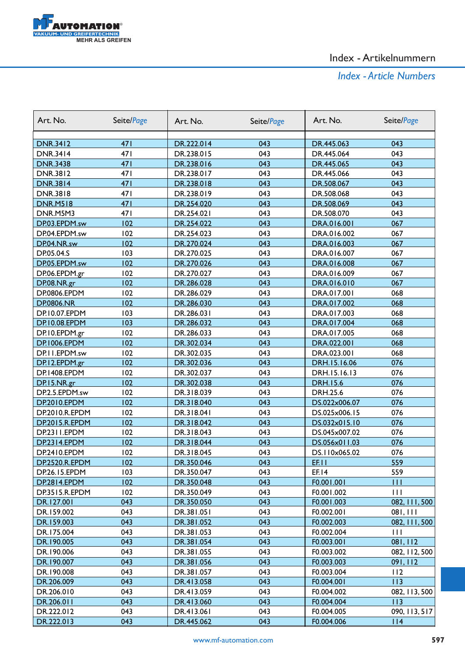

| Art. No.            | Seite/Page      | Art. No.   | Seite/Page | Art. No.        | Seite/Page     |
|---------------------|-----------------|------------|------------|-----------------|----------------|
|                     |                 |            |            |                 |                |
| <b>DNR.3412</b>     | 471<br>471      | DR.222.014 | 043<br>043 | DR.445.063      | 043<br>043     |
| <b>DNR.3414</b>     |                 | DR.238.015 |            | DR.445.064      |                |
| <b>DNR.3438</b>     | 471             | DR.238.016 | 043        | DR.445.065      | 043            |
| <b>DNR.3812</b>     | 47 <sub>1</sub> | DR.238.017 | 043        | DR.445.066      | 043            |
| <b>DNR.3814</b>     | 471             | DR.238.018 | 043        | DR.508.067      | 043            |
| <b>DNR.3818</b>     | 47 <sub>1</sub> | DR.238.019 | 043        | DR.508.068      | 043            |
| <b>DNR.M518</b>     | 471             | DR.254.020 | 043        | DR.508.069      | 043            |
| DNR.M5M3            | 47 I            | DR.254.021 | 043        | DR.508.070      | 043            |
| DP.03.EPDM.sw       | 102             | DR.254.022 | 043        | DRA.016.001     | 067            |
| DP.04.EPDM.sw       | 102             | DR.254.023 | 043        | DRA.016.002     | 067            |
| DP.04.NR.sw         | 102             | DR.270.024 | 043        | DRA.016.003     | 067            |
| DP.05.04.S          | 103             | DR.270.025 | 043        | DRA.016.007     | 067            |
| DP.05.EPDM.sw       | 102             | DR.270.026 | 043        | DRA.016.008     | 067            |
| DP.06.EPDM.gr       | 102             | DR.270.027 | 043        | DRA.016.009     | 067            |
| DP.08.NR.gr         | 102             | DR.286.028 | 043        | DRA.016.010     | 067            |
| DP.0806.EPDM        | 102             | DR.286.029 | 043        | DRA.017.001     | 068            |
| <b>DP.0806.NR</b>   | 102             | DR.286.030 | 043        | DRA.017.002     | 068            |
| DP.10.07.EPDM       | 103             | DR.286.031 | 043        | DRA.017.003     | 068            |
| DP.10.08.EPDM       | 103             | DR.286.032 | 043        | DRA.017.004     | 068            |
| DP.10.EPDM.gr       | 102             | DR.286.033 | 043        | DRA.017.005     | 068            |
| DP.1006.EPDM        | 102             | DR.302.034 | 043        | DRA.022.001     | 068            |
| DP.I I.EPDM.sw      | 102             | DR.302.035 | 043        | DRA.023.001     | 068            |
| DP.12.EPDM.gr       | 102             | DR.302.036 | 043        | DRH.15.16.06    | 076            |
| DP.1408.EPDM        | 102             | DR.302.037 | 043        | DRH.15.16.13    | 076            |
| DP.15.NR.gr         | 102             | DR.302.038 | 043        | <b>DRH.15.6</b> | 076            |
| DP.2.5.EPDM.sw      | 102             | DR.318.039 | 043        | <b>DRH.25.6</b> | 076            |
| DP.2010.EPDM        | 102             | DR.318.040 | 043        | DS.022x006.07   | 076            |
| DP.2010.R.EPDM      | 102             | DR.318.041 | 043        | DS.025x006.15   | 076            |
| DP.2015.R.EPDM      | 102             | DR.318.042 | 043        | DS.032x015.10   | 076            |
| DP.2311.EPDM        | 102             | DR.318.043 | 043        | DS.045x007.02   | 076            |
| <b>DP.2314.EPDM</b> | 102             | DR.318.044 | 043        | DS.056x011.03   | 076            |
| DP.2410.EPDM        | 102             | DR.318.045 | 043        | DS.II0x065.02   | 076            |
| DP.2520.R.EPDM      | 102             | DR.350.046 | 043        | EF.IT           | 559            |
| DP.26.15.EPDM       | 103             | DR.350.047 | 043        | EF.14           | 559            |
| DP.2814.EPDM        | 102             | DR.350.048 | 043        | F0.001.001      | $\blacksquare$ |
| DP.3515.R.EPDM      | 102             | DR.350.049 | 043        | F0.001.002      | $\mathbf{H}$   |
| DR.127.001          | 043             | DR.350.050 | 043        | F0.001.003      | 082, 111, 500  |
| DR.159.002          | 043             | DR.381.051 | 043        | F0.002.001      | 081, 111       |
| DR.159.003          | 043             | DR.381.052 | 043        | F0.002.003      | 082, 111, 500  |
| DR.175.004          | 043             | DR.381.053 | 043        | F0.002.004      | $\mathbf{H}$   |
| DR.190.005          | 043             | DR.381.054 | 043        | F0.003.001      | 081, 112       |
| DR.190.006          | 043             | DR.381.055 | 043        | F0.003.002      | 082, 112, 500  |
| DR.190.007          | 043             | DR.381.056 | 043        | F0.003.003      | 091, 112       |
| DR.190.008          | 043             | DR.381.057 | 043        | F0.003.004      | 112            |
| DR.206.009          | 043             | DR.413.058 | 043        | F0.004.001      | 113            |
| DR.206.010          | 043             | DR.413.059 | 043        | F0.004.002      | 082, 113, 500  |
| DR.206.011          | 043             | DR.413.060 | 043        | F0.004.004      | 113            |
| DR.222.012          | 043             | DR.413.061 | 043        | F0.004.005      | 090, 113, 517  |
| DR.222.013          | 043             | DR.445.062 | 043        | F0.004.006      | 114            |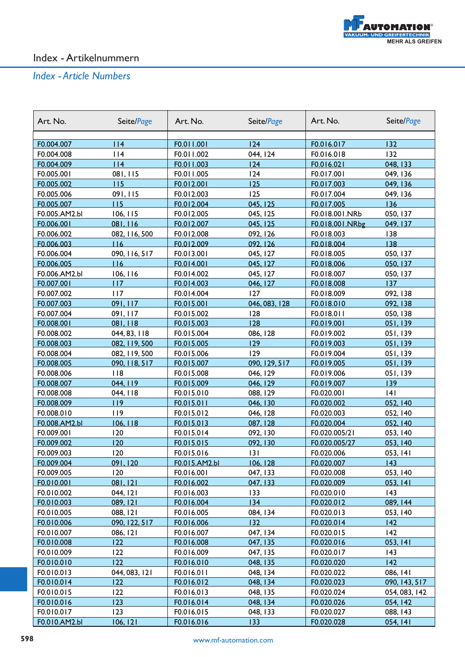

| Art. No.      | Seite/Page    | Art. No.      | Seite/Page    | Art. No.        | Seite/Page    |
|---------------|---------------|---------------|---------------|-----------------|---------------|
|               |               |               |               |                 |               |
| F0.004.007    | 14            | F0.011.001    | 124           | F0.016.017      | 132           |
| F0.004.008    | 114           | F0.011.002    | 044, 124      | F0.016.018      | 132           |
| F0.004.009    | 114           | F0.011.003    | 124           | F0.016.021      | 048, 133      |
| F0.005.001    | 081, 115      | F0.011.005    | 124           | F0.017.001      | 049, 136      |
| F0.005.002    | 115           | F0.012.001    | 125           | F0.017.003      | 049, 136      |
| F0.005.006    | 091, 115      | F0.012.003    | 125           | F0.017.004      | 049, 136      |
| F0.005.007    | 115           | F0.012.004    | 045, 125      | F0.017.005      | 136           |
| F0.005.AM2.bl | 106, 115      | F0.012.005    | 045, 125      | F0.018.001.NRb  | 050, 137      |
| F0.006.001    | 081, 116      | F0.012.007    | 045, 125      | F0.018.001.NRbg | 049, 137      |
| F0.006.002    | 082, 116, 500 | F0.012.008    | 092, 126      | F0.018.003      | 138           |
| F0.006.003    | 116           | F0.012.009    | 092, 126      | F0.018.004      | 138           |
| F0.006.004    | 090, 116, 517 | F0.013.001    | 045, 127      | F0.018.005      | 050, 137      |
| F0.006.005    | 116           | F0.014.001    | 045, 127      | F0.018.006      | 050, 137      |
| F0.006.AM2.bl | 106, 116      | F0.014.002    | 045, 127      | F0.018.007      | 050, 137      |
| F0.007.001    | 117           | F0.014.003    | 046, 127      | F0.018.008      | 137           |
| F0.007.002    | 117           | F0.014.004    | 127           | F0.018.009      | 092, 138      |
| F0.007.003    | 091, 117      | F0.015.001    | 046, 083, 128 | F0.018.010      | 092, 138      |
| F0.007.004    | 091, 117      | F0.015.002    | 128           | F0.018.011      | 050, 138      |
| F0.008.001    | 081, 118      | F0.015.003    | 128           | F0.019.001      | 051,139       |
| F0.008.002    | 044, 83, 118  | F0.015.004    | 086, 128      | F0.019.002      | 051,139       |
| F0.008.003    | 082, 119, 500 | F0.015.005    | 129           | F0.019.003      | 051,139       |
| F0.008.004    | 082, 119, 500 | F0.015.006    | 129           | F0.019.004      | 051,139       |
| F0.008.005    | 090, 118, 517 | F0.015.007    | 090, 129, 517 | F0.019.005      | 051,139       |
| F0.008.006    | 118           | F0.015.008    | 046, 129      | F0.019.006      | 051,139       |
| F0.008.007    | 044, 119      | F0.015.009    | 046, 129      | F0.019.007      | 139           |
| F0.008.008    | 044, 118      | F0.015.010    | 088, 129      | F0.020.001      | 4             |
| F0.008.009    | 119           | F0.015.011    | 046, 130      | F0.020.002      | 052, 140      |
| F0.008.010    | 119           | F0.015.012    | 046, 128      | F0.020.003      | 052, 140      |
| F0.008.AM2.bl | 106, 118      | F0.015.013    | 087, 128      | F0.020.004      | 052, 140      |
| F0.009.001    | 120           | F0.015.014    | 092, 130      | F0.020.005/21   | 053, 140      |
| F0.009.002    | 120           | F0.015.015    | 092, 130      | F0.020.005/27   | 053, 140      |
| F0.009.003    | 120           | F0.015.016    | 3             | F0.020.006      | 053, 141      |
| F0.009.004    | 091,120       | F0.015.AM2.bl | 106, 128      | F0.020.007      | 143           |
| F0.009.005    | 120           | F0.016.001    | 047, 133      | F0.020.008      | 053, 140      |
| F0.010.001    | 081, 121      | F0.016.002    | 047, 133      | F0.020.009      | 053, 141      |
| F0.010.002    | 044, 121      | F0.016.003    | 133           | F0.020.010      | 43            |
| F0.010.003    | 089, 121      | F0.016.004    | 134           | F0.020.012      | 089, 144      |
| F0.010.005    | 088, 121      | F0.016.005    | 084, 134      | F0.020.013      | 053, 140      |
| F0.010.006    | 090, 122, 517 | F0.016.006    | 132           | F0.020.014      | 142           |
| F0.010.007    | 086, 121      | F0.016.007    | 047, 134      | F0.020.015      | 142           |
| F0.010.008    | 122           | F0.016.008    | 047, 135      | F0.020.016      | 053, 141      |
| F0.010.009    | 122           | F0.016.009    | 047, 135      | F0.020.017      | 143           |
| F0.010.010    | 122           | F0.016.010    | 048, 135      | F0.020.020      | 42            |
| F0.010.013    | 044, 083, 121 | F0.016.011    | 048, 134      | F0.020.022      | 086, 141      |
| F0.010.014    | 122           | F0.016.012    | 048, 134      | F0.020.023      | 090, 143, 517 |
| F0.010.015    | 122           | F0.016.013    | 048, 135      | F0.020.024      | 054, 083, 142 |
| F0.010.016    | 123           | F0.016.014    | 048, 134      | F0.020.026      | 054, 142      |
| F0.010.017    | 123           | F0.016.015    | 048, 133      | F0.020.027      | 088, 143      |
| F0.010.AM2.bl | 106, 121      | F0.016.016    | 133           | F0.020.028      | 054, 141      |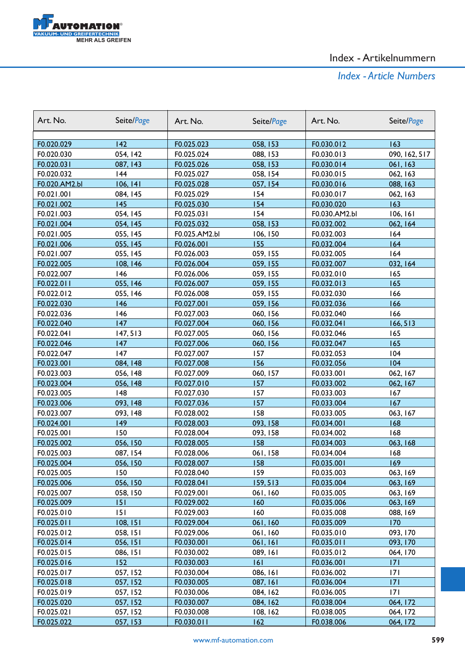

| F0.020.029<br>142<br>F0.025.023<br>058, 153<br>F0.030.012<br>163<br>054, 142<br>F0.020.030<br>F0.025.024<br>088, 153<br>F0.030.013<br>090, 162, 517<br>058, 153<br>F0.020.031<br>087, 143<br>F0.025.026<br>F0.030.014<br>061, 163<br>F0.020.032<br>144<br>F0.025.027<br>F0.030.015<br>058, 154<br>062, 163<br>F0.020.AM2.bl<br>106, 141<br>057, 154<br>088, 163<br>F0.025.028<br>F0.030.016<br>F0.021.001<br>084, 145<br>F0.025.029<br>154<br>F0.030.017<br>062, 163<br>145<br>154<br>163<br>F0.021.002<br>F0.025.030<br>F0.030.020<br>154<br>F0.021.003<br>054, 145<br>F0.025.031<br>F0.030.AM2.bl<br>106, 161<br>058, 153<br>F0.021.004<br>054, 145<br>F0.025.032<br>F0.032.002<br>062, 164<br>F0.021.005<br>F0.025.AM2.bl<br>F0.032.003<br>164<br>055, 145<br>106, 150<br>055, 145<br>155<br>164<br>F0.021.006<br>F0.026.001<br>F0.032.004<br>F0.021.007<br>164<br>055, 145<br>F0.026.003<br>059, 155<br>F0.032.005<br>F0.022.005<br>F0.026.004<br>059, 155<br>F0.032.007<br>032, 164<br>108, 146<br>F0.022.007<br>146<br>F0.026.006<br>059, 155<br>F0.032.010<br>165<br>055, 146<br>059, 155<br>165<br>F0.022.011<br>F0.026.007<br>F0.032.013<br>166<br>F0.022.012<br>055, 146<br>F0.026.008<br>059, 155<br>F0.032.030<br>146<br>166<br>F0.022.030<br>F0.027.001<br>059, 156<br>F0.032.036<br>166<br>F0.022.036<br>146<br>F0.027.003<br>060, 156<br>F0.032.040<br>F0.022.040<br>147<br>F0.027.004<br>060, 156<br>F0.032.041<br>166, 513<br>F0.022.041<br>F0.032.046<br>165<br>147, 513<br>F0.027.005<br>060, 156<br>147<br>165<br>F0.022.046<br>F0.027.006<br>060, 156<br>F0.032.047<br>147<br>157<br>104<br>F0.022.047<br>F0.027.007<br>F0.032.053<br>156<br>104<br>F0.023.001<br>084, 148<br>F0.027.008<br>F0.032.056<br>F0.023.003<br>056, 148<br>F0.027.009<br>060, 157<br>F0.033.001<br>062, 167<br>F0.023.004<br>056, 148<br>F0.027.010<br>157<br>F0.033.002<br>062, 167<br>F0.023.005<br> 48<br>F0.027.030<br>157<br>F0.033.003<br>167<br>F0.023.006<br>093, 148<br>F0.027.036<br>F0.033.004<br>167<br>157<br>F0.023.007<br>093, 148<br>F0.028.002<br>158<br>F0.033.005<br>063, 167<br>F0.024.001<br>149<br>F0.028.003<br>093, 158<br>F0.034.001<br>168<br>168<br>F0.025.001<br>150<br>F0.028.004<br>093, 158<br>F0.034.002<br>158<br>056, 150<br>063, 168<br>F0.025.002<br>F0.028.005<br>F0.034.003<br>F0.025.003<br>087, 154<br>F0.028.006<br>061, 158<br>F0.034.004<br>168<br><u>F0.025.004</u><br><u>056, I50</u><br>F0.028.007<br>158<br>F0.035.001<br>169<br>F0.025.005<br>150<br>F0.028.040<br>159<br>F0.035.003<br>063, 169<br>056, 150<br>159, 513<br>F0.035.004<br>F0.025.006<br>F0.028.041<br>063, 169<br>F0.025.007<br>F0.029.001<br>F0.035.005<br>058, 150<br>061,160<br>063, 169<br>F0.029.002<br>160<br>063, 169<br>F0.025.009<br>151<br>F0.035.006<br>F0.029.003<br>160<br>F0.035.008<br>088, 169<br>F0.025.010<br>151<br>170<br>061,160<br>F0.025.011<br>108, 151<br>F0.029.004<br>F0.035.009<br>F0.025.012<br>058, 151<br>F0.029.006<br>061,160<br>F0.035.010<br>093, 170<br>F0.025.014<br>056, 151<br>F0.030.001<br>061,161<br>F0.035.011<br>093, 170<br>F0.025.015<br>F0.030.002<br>089, 161<br>F0.035.012<br>086, 151<br>064, 170<br>F0.025.016<br>F0.030.003<br> 6 <br>F0.036.001<br>171<br>152<br>F0.025.017<br>057, 152<br>F0.030.004<br>086, 161<br>F0.036.002<br>171<br>171<br>F0.025.018<br>057, 152<br>F0.030.005<br>087, 161<br>F0.036.004<br>F0.030.006<br>F0.036.005<br>171<br>F0.025.019<br>057, 152<br>084, 162<br>064, 172<br>F0.025.020<br>057, 152<br>F0.030.007<br>084, 162<br>F0.038.004<br>F0.025.021<br>F0.030.008<br>F0.038.005<br>064, 172<br>057, 152<br>108, 162 | Art. No.   | Seite/Page | Art. No.   | Seite/Page | Art. No.   | Seite/Page |
|-------------------------------------------------------------------------------------------------------------------------------------------------------------------------------------------------------------------------------------------------------------------------------------------------------------------------------------------------------------------------------------------------------------------------------------------------------------------------------------------------------------------------------------------------------------------------------------------------------------------------------------------------------------------------------------------------------------------------------------------------------------------------------------------------------------------------------------------------------------------------------------------------------------------------------------------------------------------------------------------------------------------------------------------------------------------------------------------------------------------------------------------------------------------------------------------------------------------------------------------------------------------------------------------------------------------------------------------------------------------------------------------------------------------------------------------------------------------------------------------------------------------------------------------------------------------------------------------------------------------------------------------------------------------------------------------------------------------------------------------------------------------------------------------------------------------------------------------------------------------------------------------------------------------------------------------------------------------------------------------------------------------------------------------------------------------------------------------------------------------------------------------------------------------------------------------------------------------------------------------------------------------------------------------------------------------------------------------------------------------------------------------------------------------------------------------------------------------------------------------------------------------------------------------------------------------------------------------------------------------------------------------------------------------------------------------------------------------------------------------------------------------------------------------------------------------------------------------------------------------------------------------------------------------------------------------------------------------------------------------------------------------------------------------------------------------------------------------------------------------------------------------------------------------------------------------------------------------------------------------------------------------------------------------------------------------------------------------------------------------------------------------------------------------------------------------------------------------------------------------------------------------------------------------------------------------------------------------------------------------------|------------|------------|------------|------------|------------|------------|
|                                                                                                                                                                                                                                                                                                                                                                                                                                                                                                                                                                                                                                                                                                                                                                                                                                                                                                                                                                                                                                                                                                                                                                                                                                                                                                                                                                                                                                                                                                                                                                                                                                                                                                                                                                                                                                                                                                                                                                                                                                                                                                                                                                                                                                                                                                                                                                                                                                                                                                                                                                                                                                                                                                                                                                                                                                                                                                                                                                                                                                                                                                                                                                                                                                                                                                                                                                                                                                                                                                                                                                                                                         |            |            |            |            |            |            |
|                                                                                                                                                                                                                                                                                                                                                                                                                                                                                                                                                                                                                                                                                                                                                                                                                                                                                                                                                                                                                                                                                                                                                                                                                                                                                                                                                                                                                                                                                                                                                                                                                                                                                                                                                                                                                                                                                                                                                                                                                                                                                                                                                                                                                                                                                                                                                                                                                                                                                                                                                                                                                                                                                                                                                                                                                                                                                                                                                                                                                                                                                                                                                                                                                                                                                                                                                                                                                                                                                                                                                                                                                         |            |            |            |            |            |            |
|                                                                                                                                                                                                                                                                                                                                                                                                                                                                                                                                                                                                                                                                                                                                                                                                                                                                                                                                                                                                                                                                                                                                                                                                                                                                                                                                                                                                                                                                                                                                                                                                                                                                                                                                                                                                                                                                                                                                                                                                                                                                                                                                                                                                                                                                                                                                                                                                                                                                                                                                                                                                                                                                                                                                                                                                                                                                                                                                                                                                                                                                                                                                                                                                                                                                                                                                                                                                                                                                                                                                                                                                                         |            |            |            |            |            |            |
|                                                                                                                                                                                                                                                                                                                                                                                                                                                                                                                                                                                                                                                                                                                                                                                                                                                                                                                                                                                                                                                                                                                                                                                                                                                                                                                                                                                                                                                                                                                                                                                                                                                                                                                                                                                                                                                                                                                                                                                                                                                                                                                                                                                                                                                                                                                                                                                                                                                                                                                                                                                                                                                                                                                                                                                                                                                                                                                                                                                                                                                                                                                                                                                                                                                                                                                                                                                                                                                                                                                                                                                                                         |            |            |            |            |            |            |
|                                                                                                                                                                                                                                                                                                                                                                                                                                                                                                                                                                                                                                                                                                                                                                                                                                                                                                                                                                                                                                                                                                                                                                                                                                                                                                                                                                                                                                                                                                                                                                                                                                                                                                                                                                                                                                                                                                                                                                                                                                                                                                                                                                                                                                                                                                                                                                                                                                                                                                                                                                                                                                                                                                                                                                                                                                                                                                                                                                                                                                                                                                                                                                                                                                                                                                                                                                                                                                                                                                                                                                                                                         |            |            |            |            |            |            |
|                                                                                                                                                                                                                                                                                                                                                                                                                                                                                                                                                                                                                                                                                                                                                                                                                                                                                                                                                                                                                                                                                                                                                                                                                                                                                                                                                                                                                                                                                                                                                                                                                                                                                                                                                                                                                                                                                                                                                                                                                                                                                                                                                                                                                                                                                                                                                                                                                                                                                                                                                                                                                                                                                                                                                                                                                                                                                                                                                                                                                                                                                                                                                                                                                                                                                                                                                                                                                                                                                                                                                                                                                         |            |            |            |            |            |            |
|                                                                                                                                                                                                                                                                                                                                                                                                                                                                                                                                                                                                                                                                                                                                                                                                                                                                                                                                                                                                                                                                                                                                                                                                                                                                                                                                                                                                                                                                                                                                                                                                                                                                                                                                                                                                                                                                                                                                                                                                                                                                                                                                                                                                                                                                                                                                                                                                                                                                                                                                                                                                                                                                                                                                                                                                                                                                                                                                                                                                                                                                                                                                                                                                                                                                                                                                                                                                                                                                                                                                                                                                                         |            |            |            |            |            |            |
|                                                                                                                                                                                                                                                                                                                                                                                                                                                                                                                                                                                                                                                                                                                                                                                                                                                                                                                                                                                                                                                                                                                                                                                                                                                                                                                                                                                                                                                                                                                                                                                                                                                                                                                                                                                                                                                                                                                                                                                                                                                                                                                                                                                                                                                                                                                                                                                                                                                                                                                                                                                                                                                                                                                                                                                                                                                                                                                                                                                                                                                                                                                                                                                                                                                                                                                                                                                                                                                                                                                                                                                                                         |            |            |            |            |            |            |
|                                                                                                                                                                                                                                                                                                                                                                                                                                                                                                                                                                                                                                                                                                                                                                                                                                                                                                                                                                                                                                                                                                                                                                                                                                                                                                                                                                                                                                                                                                                                                                                                                                                                                                                                                                                                                                                                                                                                                                                                                                                                                                                                                                                                                                                                                                                                                                                                                                                                                                                                                                                                                                                                                                                                                                                                                                                                                                                                                                                                                                                                                                                                                                                                                                                                                                                                                                                                                                                                                                                                                                                                                         |            |            |            |            |            |            |
|                                                                                                                                                                                                                                                                                                                                                                                                                                                                                                                                                                                                                                                                                                                                                                                                                                                                                                                                                                                                                                                                                                                                                                                                                                                                                                                                                                                                                                                                                                                                                                                                                                                                                                                                                                                                                                                                                                                                                                                                                                                                                                                                                                                                                                                                                                                                                                                                                                                                                                                                                                                                                                                                                                                                                                                                                                                                                                                                                                                                                                                                                                                                                                                                                                                                                                                                                                                                                                                                                                                                                                                                                         |            |            |            |            |            |            |
|                                                                                                                                                                                                                                                                                                                                                                                                                                                                                                                                                                                                                                                                                                                                                                                                                                                                                                                                                                                                                                                                                                                                                                                                                                                                                                                                                                                                                                                                                                                                                                                                                                                                                                                                                                                                                                                                                                                                                                                                                                                                                                                                                                                                                                                                                                                                                                                                                                                                                                                                                                                                                                                                                                                                                                                                                                                                                                                                                                                                                                                                                                                                                                                                                                                                                                                                                                                                                                                                                                                                                                                                                         |            |            |            |            |            |            |
|                                                                                                                                                                                                                                                                                                                                                                                                                                                                                                                                                                                                                                                                                                                                                                                                                                                                                                                                                                                                                                                                                                                                                                                                                                                                                                                                                                                                                                                                                                                                                                                                                                                                                                                                                                                                                                                                                                                                                                                                                                                                                                                                                                                                                                                                                                                                                                                                                                                                                                                                                                                                                                                                                                                                                                                                                                                                                                                                                                                                                                                                                                                                                                                                                                                                                                                                                                                                                                                                                                                                                                                                                         |            |            |            |            |            |            |
|                                                                                                                                                                                                                                                                                                                                                                                                                                                                                                                                                                                                                                                                                                                                                                                                                                                                                                                                                                                                                                                                                                                                                                                                                                                                                                                                                                                                                                                                                                                                                                                                                                                                                                                                                                                                                                                                                                                                                                                                                                                                                                                                                                                                                                                                                                                                                                                                                                                                                                                                                                                                                                                                                                                                                                                                                                                                                                                                                                                                                                                                                                                                                                                                                                                                                                                                                                                                                                                                                                                                                                                                                         |            |            |            |            |            |            |
|                                                                                                                                                                                                                                                                                                                                                                                                                                                                                                                                                                                                                                                                                                                                                                                                                                                                                                                                                                                                                                                                                                                                                                                                                                                                                                                                                                                                                                                                                                                                                                                                                                                                                                                                                                                                                                                                                                                                                                                                                                                                                                                                                                                                                                                                                                                                                                                                                                                                                                                                                                                                                                                                                                                                                                                                                                                                                                                                                                                                                                                                                                                                                                                                                                                                                                                                                                                                                                                                                                                                                                                                                         |            |            |            |            |            |            |
|                                                                                                                                                                                                                                                                                                                                                                                                                                                                                                                                                                                                                                                                                                                                                                                                                                                                                                                                                                                                                                                                                                                                                                                                                                                                                                                                                                                                                                                                                                                                                                                                                                                                                                                                                                                                                                                                                                                                                                                                                                                                                                                                                                                                                                                                                                                                                                                                                                                                                                                                                                                                                                                                                                                                                                                                                                                                                                                                                                                                                                                                                                                                                                                                                                                                                                                                                                                                                                                                                                                                                                                                                         |            |            |            |            |            |            |
|                                                                                                                                                                                                                                                                                                                                                                                                                                                                                                                                                                                                                                                                                                                                                                                                                                                                                                                                                                                                                                                                                                                                                                                                                                                                                                                                                                                                                                                                                                                                                                                                                                                                                                                                                                                                                                                                                                                                                                                                                                                                                                                                                                                                                                                                                                                                                                                                                                                                                                                                                                                                                                                                                                                                                                                                                                                                                                                                                                                                                                                                                                                                                                                                                                                                                                                                                                                                                                                                                                                                                                                                                         |            |            |            |            |            |            |
|                                                                                                                                                                                                                                                                                                                                                                                                                                                                                                                                                                                                                                                                                                                                                                                                                                                                                                                                                                                                                                                                                                                                                                                                                                                                                                                                                                                                                                                                                                                                                                                                                                                                                                                                                                                                                                                                                                                                                                                                                                                                                                                                                                                                                                                                                                                                                                                                                                                                                                                                                                                                                                                                                                                                                                                                                                                                                                                                                                                                                                                                                                                                                                                                                                                                                                                                                                                                                                                                                                                                                                                                                         |            |            |            |            |            |            |
|                                                                                                                                                                                                                                                                                                                                                                                                                                                                                                                                                                                                                                                                                                                                                                                                                                                                                                                                                                                                                                                                                                                                                                                                                                                                                                                                                                                                                                                                                                                                                                                                                                                                                                                                                                                                                                                                                                                                                                                                                                                                                                                                                                                                                                                                                                                                                                                                                                                                                                                                                                                                                                                                                                                                                                                                                                                                                                                                                                                                                                                                                                                                                                                                                                                                                                                                                                                                                                                                                                                                                                                                                         |            |            |            |            |            |            |
|                                                                                                                                                                                                                                                                                                                                                                                                                                                                                                                                                                                                                                                                                                                                                                                                                                                                                                                                                                                                                                                                                                                                                                                                                                                                                                                                                                                                                                                                                                                                                                                                                                                                                                                                                                                                                                                                                                                                                                                                                                                                                                                                                                                                                                                                                                                                                                                                                                                                                                                                                                                                                                                                                                                                                                                                                                                                                                                                                                                                                                                                                                                                                                                                                                                                                                                                                                                                                                                                                                                                                                                                                         |            |            |            |            |            |            |
|                                                                                                                                                                                                                                                                                                                                                                                                                                                                                                                                                                                                                                                                                                                                                                                                                                                                                                                                                                                                                                                                                                                                                                                                                                                                                                                                                                                                                                                                                                                                                                                                                                                                                                                                                                                                                                                                                                                                                                                                                                                                                                                                                                                                                                                                                                                                                                                                                                                                                                                                                                                                                                                                                                                                                                                                                                                                                                                                                                                                                                                                                                                                                                                                                                                                                                                                                                                                                                                                                                                                                                                                                         |            |            |            |            |            |            |
|                                                                                                                                                                                                                                                                                                                                                                                                                                                                                                                                                                                                                                                                                                                                                                                                                                                                                                                                                                                                                                                                                                                                                                                                                                                                                                                                                                                                                                                                                                                                                                                                                                                                                                                                                                                                                                                                                                                                                                                                                                                                                                                                                                                                                                                                                                                                                                                                                                                                                                                                                                                                                                                                                                                                                                                                                                                                                                                                                                                                                                                                                                                                                                                                                                                                                                                                                                                                                                                                                                                                                                                                                         |            |            |            |            |            |            |
|                                                                                                                                                                                                                                                                                                                                                                                                                                                                                                                                                                                                                                                                                                                                                                                                                                                                                                                                                                                                                                                                                                                                                                                                                                                                                                                                                                                                                                                                                                                                                                                                                                                                                                                                                                                                                                                                                                                                                                                                                                                                                                                                                                                                                                                                                                                                                                                                                                                                                                                                                                                                                                                                                                                                                                                                                                                                                                                                                                                                                                                                                                                                                                                                                                                                                                                                                                                                                                                                                                                                                                                                                         |            |            |            |            |            |            |
|                                                                                                                                                                                                                                                                                                                                                                                                                                                                                                                                                                                                                                                                                                                                                                                                                                                                                                                                                                                                                                                                                                                                                                                                                                                                                                                                                                                                                                                                                                                                                                                                                                                                                                                                                                                                                                                                                                                                                                                                                                                                                                                                                                                                                                                                                                                                                                                                                                                                                                                                                                                                                                                                                                                                                                                                                                                                                                                                                                                                                                                                                                                                                                                                                                                                                                                                                                                                                                                                                                                                                                                                                         |            |            |            |            |            |            |
|                                                                                                                                                                                                                                                                                                                                                                                                                                                                                                                                                                                                                                                                                                                                                                                                                                                                                                                                                                                                                                                                                                                                                                                                                                                                                                                                                                                                                                                                                                                                                                                                                                                                                                                                                                                                                                                                                                                                                                                                                                                                                                                                                                                                                                                                                                                                                                                                                                                                                                                                                                                                                                                                                                                                                                                                                                                                                                                                                                                                                                                                                                                                                                                                                                                                                                                                                                                                                                                                                                                                                                                                                         |            |            |            |            |            |            |
|                                                                                                                                                                                                                                                                                                                                                                                                                                                                                                                                                                                                                                                                                                                                                                                                                                                                                                                                                                                                                                                                                                                                                                                                                                                                                                                                                                                                                                                                                                                                                                                                                                                                                                                                                                                                                                                                                                                                                                                                                                                                                                                                                                                                                                                                                                                                                                                                                                                                                                                                                                                                                                                                                                                                                                                                                                                                                                                                                                                                                                                                                                                                                                                                                                                                                                                                                                                                                                                                                                                                                                                                                         |            |            |            |            |            |            |
|                                                                                                                                                                                                                                                                                                                                                                                                                                                                                                                                                                                                                                                                                                                                                                                                                                                                                                                                                                                                                                                                                                                                                                                                                                                                                                                                                                                                                                                                                                                                                                                                                                                                                                                                                                                                                                                                                                                                                                                                                                                                                                                                                                                                                                                                                                                                                                                                                                                                                                                                                                                                                                                                                                                                                                                                                                                                                                                                                                                                                                                                                                                                                                                                                                                                                                                                                                                                                                                                                                                                                                                                                         |            |            |            |            |            |            |
|                                                                                                                                                                                                                                                                                                                                                                                                                                                                                                                                                                                                                                                                                                                                                                                                                                                                                                                                                                                                                                                                                                                                                                                                                                                                                                                                                                                                                                                                                                                                                                                                                                                                                                                                                                                                                                                                                                                                                                                                                                                                                                                                                                                                                                                                                                                                                                                                                                                                                                                                                                                                                                                                                                                                                                                                                                                                                                                                                                                                                                                                                                                                                                                                                                                                                                                                                                                                                                                                                                                                                                                                                         |            |            |            |            |            |            |
|                                                                                                                                                                                                                                                                                                                                                                                                                                                                                                                                                                                                                                                                                                                                                                                                                                                                                                                                                                                                                                                                                                                                                                                                                                                                                                                                                                                                                                                                                                                                                                                                                                                                                                                                                                                                                                                                                                                                                                                                                                                                                                                                                                                                                                                                                                                                                                                                                                                                                                                                                                                                                                                                                                                                                                                                                                                                                                                                                                                                                                                                                                                                                                                                                                                                                                                                                                                                                                                                                                                                                                                                                         |            |            |            |            |            |            |
|                                                                                                                                                                                                                                                                                                                                                                                                                                                                                                                                                                                                                                                                                                                                                                                                                                                                                                                                                                                                                                                                                                                                                                                                                                                                                                                                                                                                                                                                                                                                                                                                                                                                                                                                                                                                                                                                                                                                                                                                                                                                                                                                                                                                                                                                                                                                                                                                                                                                                                                                                                                                                                                                                                                                                                                                                                                                                                                                                                                                                                                                                                                                                                                                                                                                                                                                                                                                                                                                                                                                                                                                                         |            |            |            |            |            |            |
|                                                                                                                                                                                                                                                                                                                                                                                                                                                                                                                                                                                                                                                                                                                                                                                                                                                                                                                                                                                                                                                                                                                                                                                                                                                                                                                                                                                                                                                                                                                                                                                                                                                                                                                                                                                                                                                                                                                                                                                                                                                                                                                                                                                                                                                                                                                                                                                                                                                                                                                                                                                                                                                                                                                                                                                                                                                                                                                                                                                                                                                                                                                                                                                                                                                                                                                                                                                                                                                                                                                                                                                                                         |            |            |            |            |            |            |
|                                                                                                                                                                                                                                                                                                                                                                                                                                                                                                                                                                                                                                                                                                                                                                                                                                                                                                                                                                                                                                                                                                                                                                                                                                                                                                                                                                                                                                                                                                                                                                                                                                                                                                                                                                                                                                                                                                                                                                                                                                                                                                                                                                                                                                                                                                                                                                                                                                                                                                                                                                                                                                                                                                                                                                                                                                                                                                                                                                                                                                                                                                                                                                                                                                                                                                                                                                                                                                                                                                                                                                                                                         |            |            |            |            |            |            |
|                                                                                                                                                                                                                                                                                                                                                                                                                                                                                                                                                                                                                                                                                                                                                                                                                                                                                                                                                                                                                                                                                                                                                                                                                                                                                                                                                                                                                                                                                                                                                                                                                                                                                                                                                                                                                                                                                                                                                                                                                                                                                                                                                                                                                                                                                                                                                                                                                                                                                                                                                                                                                                                                                                                                                                                                                                                                                                                                                                                                                                                                                                                                                                                                                                                                                                                                                                                                                                                                                                                                                                                                                         |            |            |            |            |            |            |
|                                                                                                                                                                                                                                                                                                                                                                                                                                                                                                                                                                                                                                                                                                                                                                                                                                                                                                                                                                                                                                                                                                                                                                                                                                                                                                                                                                                                                                                                                                                                                                                                                                                                                                                                                                                                                                                                                                                                                                                                                                                                                                                                                                                                                                                                                                                                                                                                                                                                                                                                                                                                                                                                                                                                                                                                                                                                                                                                                                                                                                                                                                                                                                                                                                                                                                                                                                                                                                                                                                                                                                                                                         |            |            |            |            |            |            |
|                                                                                                                                                                                                                                                                                                                                                                                                                                                                                                                                                                                                                                                                                                                                                                                                                                                                                                                                                                                                                                                                                                                                                                                                                                                                                                                                                                                                                                                                                                                                                                                                                                                                                                                                                                                                                                                                                                                                                                                                                                                                                                                                                                                                                                                                                                                                                                                                                                                                                                                                                                                                                                                                                                                                                                                                                                                                                                                                                                                                                                                                                                                                                                                                                                                                                                                                                                                                                                                                                                                                                                                                                         |            |            |            |            |            |            |
|                                                                                                                                                                                                                                                                                                                                                                                                                                                                                                                                                                                                                                                                                                                                                                                                                                                                                                                                                                                                                                                                                                                                                                                                                                                                                                                                                                                                                                                                                                                                                                                                                                                                                                                                                                                                                                                                                                                                                                                                                                                                                                                                                                                                                                                                                                                                                                                                                                                                                                                                                                                                                                                                                                                                                                                                                                                                                                                                                                                                                                                                                                                                                                                                                                                                                                                                                                                                                                                                                                                                                                                                                         |            |            |            |            |            |            |
|                                                                                                                                                                                                                                                                                                                                                                                                                                                                                                                                                                                                                                                                                                                                                                                                                                                                                                                                                                                                                                                                                                                                                                                                                                                                                                                                                                                                                                                                                                                                                                                                                                                                                                                                                                                                                                                                                                                                                                                                                                                                                                                                                                                                                                                                                                                                                                                                                                                                                                                                                                                                                                                                                                                                                                                                                                                                                                                                                                                                                                                                                                                                                                                                                                                                                                                                                                                                                                                                                                                                                                                                                         |            |            |            |            |            |            |
|                                                                                                                                                                                                                                                                                                                                                                                                                                                                                                                                                                                                                                                                                                                                                                                                                                                                                                                                                                                                                                                                                                                                                                                                                                                                                                                                                                                                                                                                                                                                                                                                                                                                                                                                                                                                                                                                                                                                                                                                                                                                                                                                                                                                                                                                                                                                                                                                                                                                                                                                                                                                                                                                                                                                                                                                                                                                                                                                                                                                                                                                                                                                                                                                                                                                                                                                                                                                                                                                                                                                                                                                                         |            |            |            |            |            |            |
|                                                                                                                                                                                                                                                                                                                                                                                                                                                                                                                                                                                                                                                                                                                                                                                                                                                                                                                                                                                                                                                                                                                                                                                                                                                                                                                                                                                                                                                                                                                                                                                                                                                                                                                                                                                                                                                                                                                                                                                                                                                                                                                                                                                                                                                                                                                                                                                                                                                                                                                                                                                                                                                                                                                                                                                                                                                                                                                                                                                                                                                                                                                                                                                                                                                                                                                                                                                                                                                                                                                                                                                                                         |            |            |            |            |            |            |
|                                                                                                                                                                                                                                                                                                                                                                                                                                                                                                                                                                                                                                                                                                                                                                                                                                                                                                                                                                                                                                                                                                                                                                                                                                                                                                                                                                                                                                                                                                                                                                                                                                                                                                                                                                                                                                                                                                                                                                                                                                                                                                                                                                                                                                                                                                                                                                                                                                                                                                                                                                                                                                                                                                                                                                                                                                                                                                                                                                                                                                                                                                                                                                                                                                                                                                                                                                                                                                                                                                                                                                                                                         |            |            |            |            |            |            |
|                                                                                                                                                                                                                                                                                                                                                                                                                                                                                                                                                                                                                                                                                                                                                                                                                                                                                                                                                                                                                                                                                                                                                                                                                                                                                                                                                                                                                                                                                                                                                                                                                                                                                                                                                                                                                                                                                                                                                                                                                                                                                                                                                                                                                                                                                                                                                                                                                                                                                                                                                                                                                                                                                                                                                                                                                                                                                                                                                                                                                                                                                                                                                                                                                                                                                                                                                                                                                                                                                                                                                                                                                         |            |            |            |            |            |            |
|                                                                                                                                                                                                                                                                                                                                                                                                                                                                                                                                                                                                                                                                                                                                                                                                                                                                                                                                                                                                                                                                                                                                                                                                                                                                                                                                                                                                                                                                                                                                                                                                                                                                                                                                                                                                                                                                                                                                                                                                                                                                                                                                                                                                                                                                                                                                                                                                                                                                                                                                                                                                                                                                                                                                                                                                                                                                                                                                                                                                                                                                                                                                                                                                                                                                                                                                                                                                                                                                                                                                                                                                                         |            |            |            |            |            |            |
|                                                                                                                                                                                                                                                                                                                                                                                                                                                                                                                                                                                                                                                                                                                                                                                                                                                                                                                                                                                                                                                                                                                                                                                                                                                                                                                                                                                                                                                                                                                                                                                                                                                                                                                                                                                                                                                                                                                                                                                                                                                                                                                                                                                                                                                                                                                                                                                                                                                                                                                                                                                                                                                                                                                                                                                                                                                                                                                                                                                                                                                                                                                                                                                                                                                                                                                                                                                                                                                                                                                                                                                                                         |            |            |            |            |            |            |
|                                                                                                                                                                                                                                                                                                                                                                                                                                                                                                                                                                                                                                                                                                                                                                                                                                                                                                                                                                                                                                                                                                                                                                                                                                                                                                                                                                                                                                                                                                                                                                                                                                                                                                                                                                                                                                                                                                                                                                                                                                                                                                                                                                                                                                                                                                                                                                                                                                                                                                                                                                                                                                                                                                                                                                                                                                                                                                                                                                                                                                                                                                                                                                                                                                                                                                                                                                                                                                                                                                                                                                                                                         |            |            |            |            |            |            |
|                                                                                                                                                                                                                                                                                                                                                                                                                                                                                                                                                                                                                                                                                                                                                                                                                                                                                                                                                                                                                                                                                                                                                                                                                                                                                                                                                                                                                                                                                                                                                                                                                                                                                                                                                                                                                                                                                                                                                                                                                                                                                                                                                                                                                                                                                                                                                                                                                                                                                                                                                                                                                                                                                                                                                                                                                                                                                                                                                                                                                                                                                                                                                                                                                                                                                                                                                                                                                                                                                                                                                                                                                         |            |            |            |            |            |            |
|                                                                                                                                                                                                                                                                                                                                                                                                                                                                                                                                                                                                                                                                                                                                                                                                                                                                                                                                                                                                                                                                                                                                                                                                                                                                                                                                                                                                                                                                                                                                                                                                                                                                                                                                                                                                                                                                                                                                                                                                                                                                                                                                                                                                                                                                                                                                                                                                                                                                                                                                                                                                                                                                                                                                                                                                                                                                                                                                                                                                                                                                                                                                                                                                                                                                                                                                                                                                                                                                                                                                                                                                                         |            |            |            |            |            |            |
|                                                                                                                                                                                                                                                                                                                                                                                                                                                                                                                                                                                                                                                                                                                                                                                                                                                                                                                                                                                                                                                                                                                                                                                                                                                                                                                                                                                                                                                                                                                                                                                                                                                                                                                                                                                                                                                                                                                                                                                                                                                                                                                                                                                                                                                                                                                                                                                                                                                                                                                                                                                                                                                                                                                                                                                                                                                                                                                                                                                                                                                                                                                                                                                                                                                                                                                                                                                                                                                                                                                                                                                                                         |            |            |            |            |            |            |
|                                                                                                                                                                                                                                                                                                                                                                                                                                                                                                                                                                                                                                                                                                                                                                                                                                                                                                                                                                                                                                                                                                                                                                                                                                                                                                                                                                                                                                                                                                                                                                                                                                                                                                                                                                                                                                                                                                                                                                                                                                                                                                                                                                                                                                                                                                                                                                                                                                                                                                                                                                                                                                                                                                                                                                                                                                                                                                                                                                                                                                                                                                                                                                                                                                                                                                                                                                                                                                                                                                                                                                                                                         |            |            |            |            |            |            |
|                                                                                                                                                                                                                                                                                                                                                                                                                                                                                                                                                                                                                                                                                                                                                                                                                                                                                                                                                                                                                                                                                                                                                                                                                                                                                                                                                                                                                                                                                                                                                                                                                                                                                                                                                                                                                                                                                                                                                                                                                                                                                                                                                                                                                                                                                                                                                                                                                                                                                                                                                                                                                                                                                                                                                                                                                                                                                                                                                                                                                                                                                                                                                                                                                                                                                                                                                                                                                                                                                                                                                                                                                         |            |            |            |            |            |            |
|                                                                                                                                                                                                                                                                                                                                                                                                                                                                                                                                                                                                                                                                                                                                                                                                                                                                                                                                                                                                                                                                                                                                                                                                                                                                                                                                                                                                                                                                                                                                                                                                                                                                                                                                                                                                                                                                                                                                                                                                                                                                                                                                                                                                                                                                                                                                                                                                                                                                                                                                                                                                                                                                                                                                                                                                                                                                                                                                                                                                                                                                                                                                                                                                                                                                                                                                                                                                                                                                                                                                                                                                                         |            |            |            |            |            |            |
|                                                                                                                                                                                                                                                                                                                                                                                                                                                                                                                                                                                                                                                                                                                                                                                                                                                                                                                                                                                                                                                                                                                                                                                                                                                                                                                                                                                                                                                                                                                                                                                                                                                                                                                                                                                                                                                                                                                                                                                                                                                                                                                                                                                                                                                                                                                                                                                                                                                                                                                                                                                                                                                                                                                                                                                                                                                                                                                                                                                                                                                                                                                                                                                                                                                                                                                                                                                                                                                                                                                                                                                                                         | F0.025.022 | 057, 153   | F0.030.011 | 162        | F0.038.006 | 064, 172   |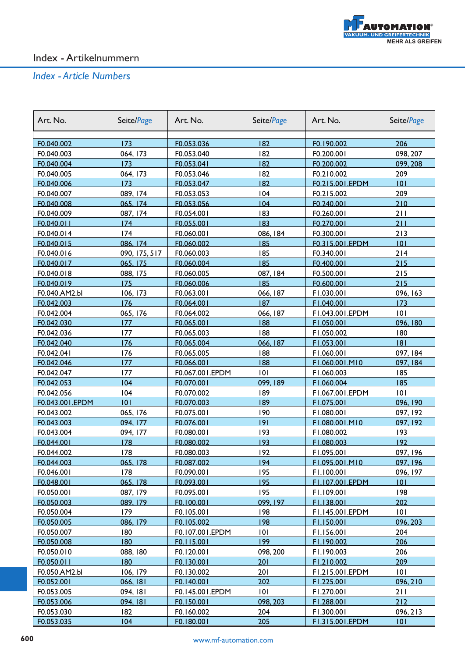

| Art. No.        | Seite/Page    | Art. No.        | Seite/Page | Art. No.        | Seite/Page |
|-----------------|---------------|-----------------|------------|-----------------|------------|
|                 |               |                 |            |                 |            |
| F0.040.002      | 173           | F0.053.036      | 182        | F0.190.002      | 206        |
| F0.040.003      | 064, 173      | F0.053.040      | 182        | F0.200.001      | 098, 207   |
| F0.040.004      | 173           | F0.053.041      | 182        | F0.200.002      | 099, 208   |
| F0.040.005      | 064, 173      | F0.053.046      | 182        | F0.210.002      | 209        |
| F0.040.006      | 173           | F0.053.047      | 182        | F0.215.001.EPDM | 101        |
| F0.040.007      | 089, 174      | F0.053.053      | 104        | F0.215.002      | 209        |
| F0.040.008      | 065, 174      | F0.053.056      | 104        | F0.240.001      | 210        |
| F0.040.009      | 087, 174      | F0.054.001      | 183        | F0.260.001      | 211        |
| F0.040.011      | 174           | F0.055.001      | 183        | F0.270.001      | 211        |
| F0.040.014      | 174           | F0.060.001      | 086, 184   | F0.300.001      | 213        |
| F0.040.015      | 086, 174      | F0.060.002      | 185        | F0.315.001.EPDM | 101        |
| F0.040.016      | 090, 175, 517 | F0.060.003      | 185        | F0.340.001      | 214        |
| F0.040.017      | 065, 175      | F0.060.004      | 185        | F0.400.001      | 215        |
| F0.040.018      | 088, 175      | F0.060.005      | 087, 184   | F0.500.001      | 215        |
| F0.040.019      | 175           | F0.060.006      | 185        | F0.600.001      | 215        |
| F0.040.AM2.bl   | 106, 173      | F0.063.001      | 066, 187   | F1.030.001      | 096, 163   |
| F0.042.003      | 176           | F0.064.001      | 187        | F1.040.001      | 173        |
| F0.042.004      | 065, 176      | F0.064.002      | 066, 187   | F1.043.001.EPDM | 101        |
| F0.042.030      | 177           | F0.065.001      | 188        | F1.050.001      | 096, 180   |
| F0.042.036      | 177           | F0.065.003      | 188        | F1.050.002      | 180        |
| F0.042.040      | 176           | F0.065.004      | 066, 187   | F1.053.001      | 8          |
| F0.042.041      | 176           | F0.065.005      | 188        | F1.060.001      | 097, 184   |
| F0.042.046      | 177           | F0.066.001      | 188        | F1.060.001.M10  | 097, 184   |
| F0.042.047      | 177           | F0.067.001.EPDM | 101        | F1.060.003      | 185        |
| F0.042.053      | 104           | F0.070.001      | 099, 189   | F1.060.004      | 185        |
| F0.042.056      | 104           | F0.070.002      | 189        | F1.067.001.EPDM | 101        |
| F0.043.001.EPDM | 0             | F0.070.003      | 189        | F1.075.001      | 096, 190   |
| F0.043.002      | 065, 176      | F0.075.001      | 190        | F1.080.001      | 097, 192   |
| F0.043.003      | 094, 177      | F0.076.001      | 9          | F1.080.001.M10  | 097, 192   |
| F0.043.004      | 094, 177      | F0.080.001      | 193        | F1.080.002      | 193        |
| F0.044.001      | 178           | F0.080.002      | 193        | F1.080.003      | 192        |
| F0.044.002      | 178           | F0.080.003      | 192        | F1.095.001      | 097, 196   |
| F0.044.003      | 065, 178      | F0.087.002      | 194        | F1.095.001.M10  | 097, 196   |
| F0.046.001      | 178           | F0.090.001      | 195        | FI.100.001      | 096, 197   |
| F0.048.001      | 065, 178      | F0.093.001      | 195        | F1.107.001.EPDM | 0          |
| F0.050.001      | 087, 179      | F0.095.001      | 195        | FI.109.001      | 198        |
| F0.050.003      | 089, 179      | F0.100.001      | 099, 197   | F1.138.001      | 202        |
| F0.050.004      | 179           | F0.105.001      | 198        | F1.145.001.EPDM | 101        |
| F0.050.005      | 086, 179      | F0.105.002      | 198        | F1.150.001      | 096, 203   |
| F0.050.007      | 180           | F0.107.001.EPDM | 0          | FI.156.001      | 204        |
| F0.050.008      | 180           | FO.115.001      | 199        | F1.190.002      | 206        |
| F0.050.010      | 088, 180      | F0.120.001      | 098, 200   | FI.190.003      | 206        |
| F0.050.011      | 180           | F0.130.001      | 201        | F1.210.002      | 209        |
| F0.050.AM2.bl   | 106, 179      | F0.130.002      | 201        | F1.215.001.EPDM | 0          |
| F0.052.001      | 066, 181      | F0.140.001      | 202        | F1.225.001      | 096, 210   |
| F0.053.005      | 094, 181      | F0.145.001.EPDM | 101        | F1.270.001      | 211        |
| F0.053.006      | 094, 181      | F0.150.001      | 098, 203   | F1.288.001      | 212        |
| F0.053.030      | 182           | F0.160.002      | 204        | F1.300.001      | 096, 213   |
| F0.053.035      | 104           | F0.180.001      | 205        | F1.315.001.EPDM | 101        |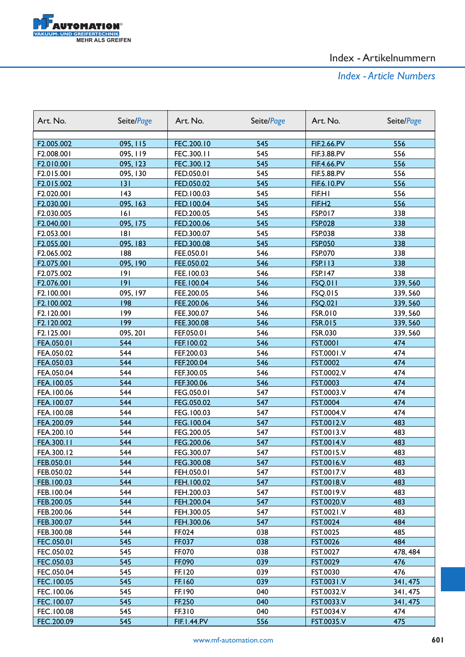

| Art. No.   | Seite/Page | Art. No.                 | Seite/Page | Art. No.           | Seite/Page |
|------------|------------|--------------------------|------------|--------------------|------------|
|            |            |                          |            |                    |            |
| F2.005.002 | 095, 115   | FEC.200.10<br>FEC.300.11 | 545<br>545 | FIF.2.66.PV        | 556<br>556 |
| F2.008.001 | 095, 119   |                          |            | FIF.3.88.PV        |            |
| F2.010.001 | 095, 123   | FEC.300.12               | 545        | FIF.4.66.PV        | 556        |
| F2.015.001 | 095, 130   | FED.050.01               | 545        | FIF.5.88.PV        | 556        |
| F2.015.002 | 3          | FED.050.02               | 545        | <b>FIF.6.10.PV</b> | 556        |
| F2.020.001 | 143        | FED.100.03               | 545        | FIF.HI             | 556        |
| F2.030.001 | 095, 163   | FED.100.04               | 545        | FIF.H <sub>2</sub> | 556        |
| F2.030.005 | 6          | FED.200.05               | 545        | <b>FSP.017</b>     | 338        |
| F2.040.001 | 095, 175   | FED.200.06               | 545        | <b>FSP.028</b>     | 338        |
| F2.053.001 | 8          | FED.300.07               | 545        | <b>FSP.038</b>     | 338        |
| F2.055.001 | 095, 183   | FED.300.08               | 545        | <b>FSP.050</b>     | 338        |
| F2.065.002 | 188        | FEE.050.01               | 546        | FSP.070            | 338        |
| F2.075.001 | 095, 190   | FEE.050.02               | 546        | <b>FSP.113</b>     | 338        |
| F2.075.002 | 9          | FEE.100.03               | 546        | <b>FSP.147</b>     | 338        |
| F2.076.001 | 9          | FEE.100.04               | 546        | <b>FSQ.011</b>     | 339,560    |
| F2.100.001 | 095, 197   | FEE.200.05               | 546        | FSQ.015            | 339, 560   |
| F2.100.002 | 198        | FEE.200.06               | 546        | <b>FSQ.021</b>     | 339, 560   |
| F2.120.001 | 199        | FEE.300.07               | 546        | FSR.010            | 339, 560   |
| F2.120.002 | 199        | FEE.300.08               | 546        | <b>FSR.015</b>     | 339,560    |
| F2.125.001 | 095, 201   | FEF.050.01               | 546        | FSR.030            | 339, 560   |
| FEA.050.01 | 544        | FEF.100.02               | 546        | <b>FST.0001</b>    | 474        |
| FEA.050.02 | 544        | FEF.200.03               | 546        | FST.0001.V         | 474        |
| FEA.050.03 | 544        | FEF.200.04               | 546        | <b>FST.0002</b>    | 474        |
| FEA.050.04 | 544        | FEF.300.05               | 546        | FST.0002.V         | 474        |
| FEA.100.05 | 544        | FEF.300.06               | 546        | <b>FST.0003</b>    | 474        |
| FEA.100.06 | 544        | FEG.050.01               | 547        | FST.0003.V         | 474        |
| FEA.100.07 | 544        | FEG.050.02               | 547        | <b>FST.0004</b>    | 474        |
| FEA.100.08 | 544        | FEG.100.03               | 547        | FST.0004.V         | 474        |
| FEA.200.09 | 544        | FEG.100.04               | 547        | <b>FST.0012.V</b>  | 483        |
| FEA.200.10 | 544        | FEG.200.05               | 547        | FST.0013.V         | 483        |
| FEA.300.11 | 544        | FEG.200.06               | 547        | <b>FST.0014.V</b>  | 483        |
| FEA.300.12 | 544        | FEG.300.07               | 547        | FST.0015.V         | 483        |
| FEB.050.01 | 544        | FEG.300.08               | 547        | FST.0016.V         | 483        |
| FEB.050.02 | 544        | FEH.050.01               | 547        | FST.0017.V         | 483        |
| FEB.100.03 | 544        | FEH.100.02               | 547        | <b>FST.0018.V</b>  | 483        |
| FEB.100.04 | 544        | FEH.200.03               | 547        | FST.0019.V         | 483        |
| FEB.200.05 | 544        | FEH.200.04               | 547        | FST.0020.V         | 483        |
| FEB.200.06 | 544        | FEH.300.05               | 547        | FST.0021.V         | 483        |
| FEB.300.07 | 544        | FEH.300.06               | 547        | <b>FST.0024</b>    | 484        |
| FEB.300.08 | 544        | FF.024                   | 038        | FST.0025           | 485        |
| FEC.050.01 | 545        | FF.037                   | 038        | <b>FST.0026</b>    | 484        |
| FEC.050.02 | 545        | FF.070                   | 038        | FST.0027           | 478, 484   |
| FEC.050.03 | 545        | FF.090                   | 039        | <b>FST.0029</b>    | 476        |
| FEC.050.04 | 545        | FF.120                   | 039        | FST.0030           | 476        |
| FEC.100.05 | 545        | FF.160                   | 039        | <b>FST.0031.V</b>  | 341, 475   |
| FEC.100.06 | 545        | FF.190                   | 040        | FST.0032.V         | 341, 475   |
| FEC.100.07 | 545        | FF.250                   | 040        | FST.0033.V         | 341, 475   |
| FEC.100.08 | 545        | FF.310                   | 040        | FST.0034.V         | 474        |
| FEC.200.09 | 545        | <b>FIF.1.44.PV</b>       | 556        | FST.0035.V         | 475        |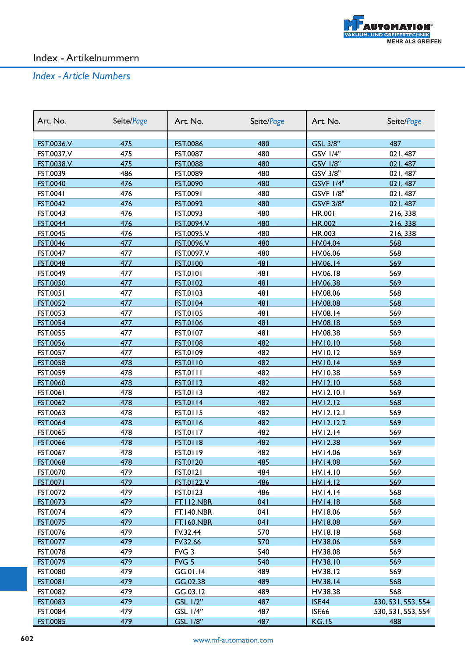

| Art. No.          | Seite/Page | Art. No.          | Seite/Page | Art. No.         | Seite/Page         |
|-------------------|------------|-------------------|------------|------------------|--------------------|
|                   |            |                   |            |                  |                    |
| FST.0036.V        | 475        | <b>FST.0086</b>   | 480        | GSL 3/8"         | 487                |
| FST.0037.V        | 475        | FST.0087          | 480        | <b>GSV 1/4"</b>  | 021,487            |
| <b>FST.0038.V</b> | 475        | <b>FST.0088</b>   | 480        | <b>GSV 1/8"</b>  | 021,487            |
| FST.0039          | 486        | FST.0089          | 480        | GSV 3/8"         | 021,487            |
| <b>FST.0040</b>   | 476        | FST.0090          | 480        | <b>GSVF 1/4"</b> | 021,487            |
| FST.0041          | 476        | FST.0091          | 480        | <b>GSVF 1/8"</b> | 021,487            |
| FST.0042          | 476        | FST.0092          | 480        | <b>GSVF 3/8"</b> | 021,487            |
| FST.0043          | 476        | FST.0093          | 480        | <b>HR.001</b>    | 216,338            |
| <b>FST.0044</b>   | 476        | FST.0094.V        | 480        | HR.002           | 216,338            |
| FST.0045          | 476        | FST.0095.V        | 480        | HR.003           | 216,338            |
| <b>FST.0046</b>   | 477        | FST.0096.V        | 480        | HV.04.04         | 568                |
| FST.0047          | 477        | FST.0097.V        | 480        | HV.06.06         | 568                |
| <b>FST.0048</b>   | 477        | <b>FST.0100</b>   | 481        | HV.06.14         | 569                |
| FST.0049          | 477        | <b>FST.0101</b>   | 481        | HV.06.18         | 569                |
| <b>FST.0050</b>   | 477        | FST.0102          | 481        | HV.06.38         | 569                |
| <b>FST.0051</b>   | 477        | FST.0103          | 481        | HV.08.06         | 568                |
| <b>FST.0052</b>   | 477        | <b>FST.0104</b>   | 481        | HV.08.08         | 568                |
| FST.0053          | 477        | FST.0105          | 481        | HV.08.14         | 569                |
| <b>FST.0054</b>   | 477        | <b>FST.0106</b>   | 481        | HV.08.18         | 569                |
| FST.0055          | 477        | FST.0107          | 481        | HV.08.38         | 569                |
| <b>FST.0056</b>   | 477        | <b>FST.0108</b>   | 482        | <b>HV.10.10</b>  | 568                |
| FST.0057          | 477        | FST.0109          | 482        | HV.10.12         | 569                |
| <b>FST.0058</b>   | 478        | <b>FST.0110</b>   | 482        | <b>HV.10.14</b>  | 569                |
| FST.0059          | 478        | <b>FST.0111</b>   | 482        | HV.10.38         | 569                |
| <b>FST.0060</b>   | 478        | <b>FST.0112</b>   | 482        | HV.12.10         | 568                |
| <b>FST.0061</b>   | 478        | <b>FST.0113</b>   | 482        | HV.12.10.1       | 569                |
| FST.0062          | 478        | <b>FST.0114</b>   | 482        | HV.12.12         | 568                |
| FST.0063          | 478        | <b>FST.0115</b>   | 482        | HV.12.12.1       | 569                |
| <b>FST.0064</b>   | 478        | <b>FST.0116</b>   | 482        | HV.12.12.2       | 569                |
| FST.0065          | 478        | FST.0117          | 482        | HV.12.14         | 569                |
| FST.0066          | 478        | <b>FST.0118</b>   | 482        | HV.12.38         | 569                |
| FST.0067          | 478        | FST.0119          | 482        | HV.14.06         | 569                |
| <b>FST.0068</b>   | 478        | <b>FST.0120</b>   | 485        | <b>HV.14.08</b>  | 569                |
| FST.0070          | 479        | <b>FST.0121</b>   | 484        | HV.14.10         | 569                |
| <b>FST.0071</b>   | 479        | <b>FST.0122.V</b> | 486        | HV.14.12         | 569                |
| FST.0072          | 479        | FST.0123          | 486        | HV.14.14         | 568                |
| <b>FST.0073</b>   | 479        | <b>FT.112.NBR</b> | 041        | <b>HV.14.18</b>  | 568                |
| FST.0074          | 479        | <b>FT.140.NBR</b> | 041        | HV.18.06         | 569                |
| <b>FST.0075</b>   | 479        | <b>FT.160.NBR</b> | 041        | HV.18.08         | 569                |
| FST.0076          | 479        | FV.32.44          | 570        | HV.18.18         | 568                |
| <b>FST.0077</b>   | 479        | FV.32.66          | 570        | HV.38.06         | 569                |
| FST.0078          | 479        | FVG 3             | 540        | HV.38.08         | 569                |
| FST.0079          | 479        | FVG <sub>5</sub>  | 540        | HV.38.10         | 569                |
| FST.0080          | 479        | GG.01.14          | 489        | HV.38.12         | 569                |
| <b>FST.0081</b>   | 479        | GG.02.38          | 489        | HV.38.14         | 568                |
| FST.0082          | 479        | GG.03.12          | 489        | HV.38.38         | 568                |
| <b>FST.0083</b>   | 479        | <b>GSL 1/2"</b>   | 487        | <b>ISF.44</b>    | 530, 531, 553, 554 |
| FST.0084          | 479        | <b>GSL 1/4"</b>   | 487        | <b>ISF.66</b>    | 530, 531, 553, 554 |
| <b>FST.0085</b>   | 479        | GSL 1/8"          | 487        | <b>KG.15</b>     | 488                |
|                   |            |                   |            |                  |                    |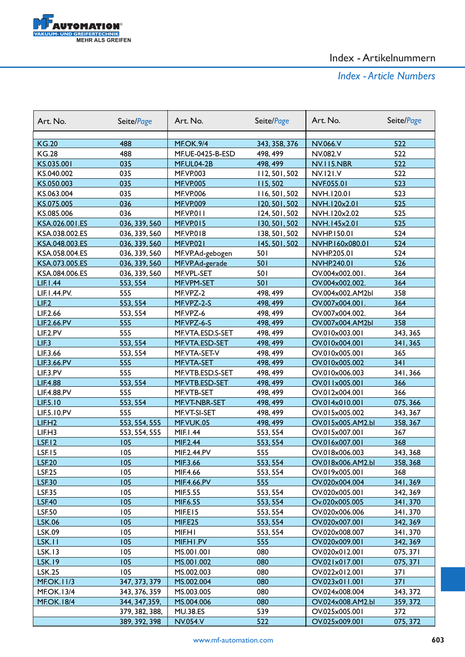

| Art. No.           | Seite/Page     | Art. No.         | Seite/Page    | Art. No.           | Seite/Page |
|--------------------|----------------|------------------|---------------|--------------------|------------|
| <b>KG.20</b>       | 488            | <b>MF.OK.9/4</b> | 343, 358, 376 | NV.066.V           | 522        |
| <b>KG.28</b>       | 488            | MF.UE-0425-B-ESD | 498, 499      | NV.082.V           | 522        |
| KS.035.001         | 035            | MF.UL04-2B       | 498, 499      | <b>NV.115.NBR</b>  | 522        |
| KS.040.002         | 035            | <b>MF.VP.003</b> | 112, 501, 502 | <b>NV.121.V</b>    | 522        |
| KS.050.003         | 035            | <b>MF.VP.005</b> | 115,502       | NVF.055.01         | 523        |
| KS.063.004         | 035            | <b>MF.VP.006</b> | 116, 501, 502 | NVH.120.01         | 523        |
| KS.075.005         | 036            | <b>MF.VP.009</b> | 120, 501, 502 | NVH.120x2.01       | 525        |
| KS.085.006         | 036            | MF.VP.011        | 124, 501, 502 | NVH.120x2.02       | 525        |
| KSA.026.001.ES     | 036, 339, 560  | <b>MF.VP.015</b> | 130, 501, 502 | NVH.145x2.01       | 525        |
| KSA.038.002.ES     | 036, 339, 560  | <b>MF.VP.018</b> | 138, 501, 502 | NVHP.150.01        | 524        |
| KSA.048.003.ES     | 036, 339, 560  | MF.VP.021        | 145, 501, 502 | NVHP.160x080.01    | 524        |
| KSA.058.004.ES     | 036, 339, 560  | MF.VP.Ad-gebogen | 501           | NVHP.205.01        | 524        |
| KSA.073.005.ES     | 036, 339, 560  | MF.VP.Ad-gerade  | 501           | <b>NVHP.240.01</b> | 526        |
| KSA.084.006.ES     | 036, 339, 560  | MF.VPL-SET       | 501           | OV.004x002.001.    | 364        |
| <b>LIF.I.44</b>    | 553, 554       | MF.VPM-SET       | 501           | OV.004x002.002.    | 364        |
| LIF.1.44.PV.       | 555            | MF.VPZ-2         | 498, 499      | OV.004x002.AM2bl   | 358        |
| LIE2               | 553, 554       | MF.VPZ-2-S       | 498, 499      | OV.007x004.001.    | 364        |
| LIF.2.66           | 553, 554       | MF.VPZ-6         | 498, 499      | OV.007x004.002.    | 364        |
| LIF.2.66.PV        | 555            | MF.VPZ-6-S       | 498, 499      | OV.007x004.AM2bl   | 358        |
| LIF.2.PV           | 555            | MF.VTA.ESD.S-SET | 498, 499      | OV.010x003.001     | 343, 365   |
| LIE.3              | 553, 554       | MF.VTA.ESD-SET   | 498, 499      | OV.010x004.001     | 341, 365   |
| LIF.3.66           | 553, 554       | MF.VTA-SET-V     | 498, 499      | OV.010x005.001     | 365        |
| LIF.3.66.PV        | 555            | MF.VTA-SET       | 498, 499      | OV.010x005.002     | 341        |
| LIF.3.PV           | 555            | MF.VTB.ESD.S-SET | 498, 499      | OV.010x006.003     | 341,366    |
| <b>LIF.4.88</b>    | 553, 554       | MF.VTB.ESD-SET   | 498, 499      | OV.011x005.001     | 366        |
| <b>LIF.4.88.PV</b> | 555            | MF.VTB-SET       | 498, 499      | OV.012x004.001     | 366        |
| LIF.5.10           | 553, 554       | MF.VT-NBR-SET    | 498, 499      | OV.014x010.001     | 075, 366   |
| LIF.5.10.PV        | 555            | MF.VT-SI-SET     | 498, 499      | OV.015x005.002     | 343, 367   |
| LIF.H2             | 553, 554, 555  | MF.VUK.05        | 498, 499      | OV.015x005.AM2.bl  | 358, 367   |
| LIF.H3             | 553, 554, 555  | MIF.1.44         | 553, 554      | OV.015x007.001     | 367        |
| <b>LSF.12</b>      | 105            | MIF.2.44         | 553, 554      | OV.016x007.001     | 368        |
| <b>LSF.15</b>      | 105            | MIF.2.44.PV      | 555           | OV.018x006.003     | 343, 368   |
| <b>LSF.20</b>      | 105            | MIF.3.66         | 553, 554      | OV.018x006.AM2.bl  | 358, 368   |
| <b>LSF.25</b>      | 105            | MIF.4.66         | 553, 554      | OV.019x005.001     | 368        |
| <b>LSF.30</b>      | 105            | MIF.4.66.PV      | 555           | OV.020x004.004     | 341,369    |
| <b>LSF.35</b>      | 105            | MIF.5.55         | 553, 554      | OV.020x005.001     | 342, 369   |
| <b>LSF.40</b>      | 105            | MIF.6.55         | 553, 554      | Ov.020x005.005     | 341,370    |
| <b>LSF.50</b>      | 105            | MIF.EI5          | 553, 554      | OV.020x006.006     | 341, 370   |
| <b>LSK.06</b>      | 105            | MIF.E25          | 553, 554      | OV.020x007.001     | 342, 369   |
| LSK.09             | 105            | MIF.HI           | 553, 554      | OV.020x008.007     | 341, 370   |
| LSK.II             | 105            | MIF.HI.PV        | 555           | OV.020x009.001     | 342, 369   |
| <b>LSK.13</b>      | 105            | MS.001.001       | 080           | OV.020x012.001     | 075, 371   |
| <b>LSK.19</b>      | 105            | MS.001.002       | 080           | OV.021x017.001     | 075, 371   |
| <b>LSK.25</b>      | 105            | MS.002.003       | 080           | OV.022x012.001     | 371        |
| <b>MF.OK.11/3</b>  | 347, 373, 379  | MS.002.004       | 080           | OV.023x011.001     | 371        |
| <b>MF.OK.13/4</b>  | 343, 376, 359  | MS.003.005       | 080           | OV.024x008.004     | 343, 372   |
| <b>MF.OK.18/4</b>  | 344, 347, 359, | MS.004.006       | 080           | OV.024x008.AM2.bl  | 359, 372   |
|                    | 379, 382, 388, | <b>MU.38.ES</b>  | 539           | OV.025x005.001     | 372        |
|                    | 389, 392, 398  | <b>NV.054.V</b>  | 522           | OV.025x009.001     | 075, 372   |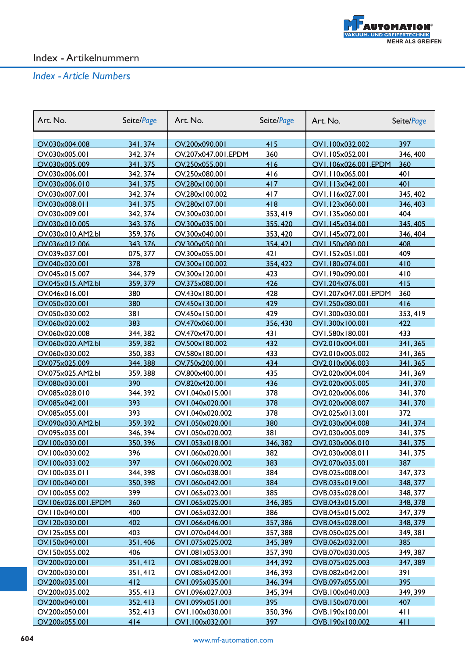

| Art. No.                         | Seite/Page           | Art. No.                              | Seite/Page | Art. No.                           | Seite/Page      |
|----------------------------------|----------------------|---------------------------------------|------------|------------------------------------|-----------------|
|                                  |                      |                                       |            |                                    |                 |
| OV.030x004.008<br>OV.030x005.001 | 341, 374<br>342, 374 | OV.200x090.001<br>OV.207x047.001.EPDM | 415<br>360 | OV1.100x032.002<br>OV1.105x052.001 | 397<br>346, 400 |
| OV.030x005.009                   | 341, 375             | OV.250x055.001                        | 416        | OV1.106x026.001.EPDM               | 360             |
| OV.030x006.001                   | 342, 374             | OV.250x080.001                        | 416        | OVI.110x065.001                    | 401             |
| OV.030x006.010                   | 341, 375             | OV.280x100.001                        | 417        | OV1.113x042.001                    | 401             |
| OV.030x007.001                   | 342, 374             | OV.280x100.002                        | 417        | OV1.116x027.001                    | 345, 402        |
| OV.030x008.011                   | 341, 375             | OV.280x107.001                        | 418        | OV1.123x060.001                    | 346, 403        |
| OV.030x009.001                   | 342, 374             | OV.300x030.001                        | 353, 419   | OV1.135x060.001                    | 404             |
| OV.030x010.005                   | 343, 376             | OV.300x035.001                        | 355, 420   | OV1.145x034.001                    | 345, 405        |
| OV.030x010.AM2.bl                | 359, 376             | OV.300x040.001                        | 353, 420   | OV1.145x072.001                    | 346, 404        |
| OV.036x012.006                   | 343, 376             | OV.300x050.001                        | 354, 421   | OV1.150x080.001                    | 408             |
| OV.039x037.001                   | 075, 377             | OV.300x055.001                        | 421        | OV1.152x051.001                    | 409             |
| OV.040x020.001                   | 378                  | OV.300x100.002                        | 354, 422   | OV1.180x074.001                    | 410             |
| OV.045x015.007                   | 344, 379             | OV.300x120.001                        | 423        | OV1.190x090.001                    | 410             |
| OV.045x015.AM2.bl                | 359, 379             | OV.375x080.001                        | 426        | OV1.204x076.001                    | 415             |
| OV.046x016.001                   | 380                  | OV.430x180.001                        | 428        | OV1.207x047.001.EPDM               | 360             |
| OV.050x020.001                   | 380                  | OV.450x130.001                        | 429        | OV1.250x080.001                    | 416             |
| OV.050x030.002                   | 381                  | OV.450x150.001                        | 429        | OV1.300x030.001                    | 353, 419        |
| OV.060x020.002                   | 383                  | OV.470x060.001                        | 356, 430   | OV1.300x100.001                    | 422             |
| OV.060x020.008                   | 344, 382             | OV.470x470.001                        | 431        | OV1.580x180.001                    | 433             |
| OV.060x020.AM2.bl                | 359, 382             | OV.500x180.002                        | 432        | OV2.010x004.001                    | 341, 365        |
| OV.060x030.002                   | 350, 383             | OV.580x180.001                        | 433        | OV2.010x005.002                    | 341, 365        |
| OV.075x025.009                   | 344, 388             | OV.750x200.001                        | 434        | OV2.010x006.003                    | 341, 365        |
| OV.075x025.AM2.bl                | 359, 388             | OV.800x400.001                        | 435        | OV2.020x004.004                    | 341, 369        |
| OV.080x030.001                   | 390                  | OV.820x420.001                        | 436        | OV2.020x005.005                    | 341,370         |
| OV.085x028.010                   | 344, 392             | OV1.040x015.001                       | 378        | OV2.020x006.006                    | 341, 370        |
| OV.085x042.001                   | 393                  | OV1.040x020.001                       | 378        | OV2.020x008.007                    | 341, 370        |
| OV.085x055.001                   | 393                  | OV1.040x020.002                       | 378        | OV2.025x013.001                    | 372             |
| OV.090x030.AM2.bl                | 359, 392             | OV1.050x020.001                       | 380        | OV2.030x004.008                    | 341, 374        |
| OV.095x035.001                   | 346, 394             | OV1.050x020.002                       | 381        | OV2.030x005.009                    | 341, 375        |
| OV.100x030.001                   | 350, 396             | OV1.053x018.001                       | 346, 382   | OV2.030x006.010                    | 341, 375        |
| OV.100x030.002                   | 396                  | OV1.060x020.001                       | 382        | OV2.030x008.011                    | 341, 375        |
| OV.100x033.002                   | 397                  | OV1.060x020.002                       | 383        | OV2.070x035.001                    | 387             |
| OV.100x035.011                   | 344, 398             | OV1.060x038.001                       | 384        | OVB.025x008.001                    | 347, 373        |
| OV.100x040.001                   | 350, 398             | OV1.060x042.001                       | 384        | OVB.035x019.001                    | 348, 377        |
| OV.100x055.002                   | 399                  | OV1.065x023.001                       | 385        | OVB.035x028.001                    | 348, 377        |
| OV.106x026.001.EPDM              | 360                  | OV1.065x025.001                       | 346, 385   | OVB.043x015.001                    | 348, 378        |
| OV.110x040.001                   | 400                  | OV1.065x032.001                       | 386        | OVB.045x015.002                    | 347, 379        |
| OV.120x030.001                   | 402                  | OV1.066x046.001                       | 357, 386   | OVB.045x028.001                    | 348, 379        |
| OV.125x055.001                   | 403                  | OV1.070x044.001                       | 357, 388   | OVB.050x025.001                    | 349, 381        |
| OV.150x040.001                   | 351,406              | OV1.075x025.002                       | 345, 389   | OVB.062x032.001                    | 385             |
| OV.150x055.002                   | 406                  | OV1.081x053.001                       | 357, 390   | OVB.070x030.005                    | 349, 387        |
| OV.200x020.001                   | 351, 412             | OV1.085x028.001                       | 344, 392   | OVB.075x025.003                    | 347, 389        |
| OV.200x030.001                   | 351,412              | OV1.085x042.001                       | 346, 393   | OVB.082x042.001                    | 391             |
| OV.200x035.001                   | 412                  | OV1.095x035.001                       | 346, 394   | OVB.097x055.001                    | 395             |
| OV.200x035.002                   | 355, 413             | OV1.096x027.003                       | 345, 394   | OVB.100x040.003                    | 349, 399        |
| OV.200x040.001                   | 352, 413             | OV1.099x051.001                       | 395        | OVB.150x070.001                    | 407             |
| OV.200x050.001                   | 352, 413             | OV1.100x030.001                       | 350, 396   | OVB.190x100.001                    | 411             |
| OV.200x055.001                   | 414                  | OV1.100x032.001                       | 397        | OVB.190x100.002                    | 411             |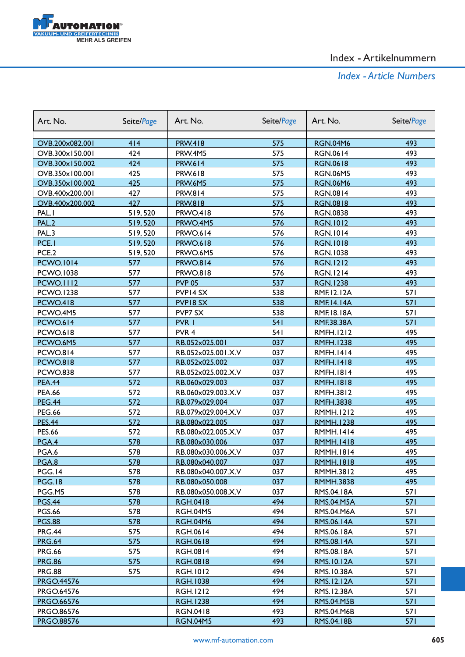

| Art. No.          | Seite/Page | Art. No.           | Seite/Page | Art. No.          | Seite/Page |
|-------------------|------------|--------------------|------------|-------------------|------------|
| OVB.200x082.001   | 414        | <b>PRW.418</b>     | 575        | <b>RGN.04M6</b>   | 493        |
| OVB.300x150.001   | 424        | PRW.4M5            | 575        | <b>RGN.0614</b>   | 493        |
| OVB.300x150.002   | 424        | <b>PRW.614</b>     | 575        | <b>RGN.0618</b>   | 493        |
| OVB.350x100.001   | 425        | PRW.618            | 575        | <b>RGN.06M5</b>   | 493        |
| OVB.350x100.002   | 425        | <b>PRW.6M5</b>     | 575        | <b>RGN.06M6</b>   | 493        |
| OVB.400x200.001   | 427        | <b>PRW.814</b>     | 575        | <b>RGN.0814</b>   | 493        |
| OVB.400x200.002   | 427        | <b>PRW.818</b>     | 575        | <b>RGN.0818</b>   | 493        |
| PAL.I             | 519,520    | <b>PRWO.418</b>    | 576        | <b>RGN.0838</b>   | 493        |
| <b>PAL.2</b>      | 519,520    | PRWO.4M5           | 576        | <b>RGN.1012</b>   | 493        |
| PAL.3             | 519,520    | <b>PRWO.614</b>    | 576        | <b>RGN.1014</b>   | 493        |
| PCE.I             | 519,520    | <b>PRWO.618</b>    | 576        | <b>RGN.1018</b>   | 493        |
| PCE.2             | 519,520    | PRWO.6M5           | 576        | <b>RGN.1038</b>   | 493        |
| <b>PCWO.1014</b>  | 577        | <b>PRWO.814</b>    | 576        | <b>RGN.1212</b>   | 493        |
| PCWO.1038         | 577        | <b>PRWO.818</b>    | 576        | <b>RGN.1214</b>   | 493        |
| <b>PCWO.III2</b>  | 577        | <b>PVP 05</b>      | 537        | <b>RGN.1238</b>   | 493        |
| <b>PCWO.1238</b>  | 577        | PVP14 SX           | 538        | RMF.12.12A        | <b>571</b> |
| <b>PCWO.418</b>   | 577        | PVP18 SX           | 538        | <b>RMF.14.14A</b> | <b>571</b> |
| PCWO.4M5          | 577        | PVP7 SX            | 538        | RMF.18.18A        | <b>571</b> |
| <b>PCWO.614</b>   | 577        | PVR I              | 541        | RMF.38.38A        | 571        |
| <b>PCWO.618</b>   | 577        | PVR <sub>4</sub>   | 541        | <b>RMFH.1212</b>  | 495        |
| PCWO.6M5          | 577        | RB.052x025.001     | 037        | <b>RMFH.1238</b>  | 495        |
| <b>PCWO.814</b>   | 577        | RB.052x025.001.X.V | 037        | <b>RMFH.1414</b>  | 495        |
| <b>PCWO.818</b>   | 577        | RB.052x025.002     | 037        | <b>RMFH.1418</b>  | 495        |
| <b>PCWO.838</b>   | 577        | RB.052x025.002.X.V | 037        | <b>RMFH.1814</b>  | 495        |
| <b>PEA.44</b>     | 572        | RB.060x029.003     | 037        | <b>RMFH.1818</b>  | 495        |
| <b>PEA.66</b>     | 572        | RB.060x029.003.X.V | 037        | RMFH.3812         | 495        |
| <b>PEG.44</b>     | 572        | RB.079x029.004     | 037        | <b>RMFH.3838</b>  | 495        |
| <b>PEG.66</b>     | 572        | RB.079x029.004.X.V | 037        | <b>RMMH.1212</b>  | 495        |
| <b>PES.44</b>     | 572        | RB.080x022.005     | 037        | <b>RMMH.1238</b>  | 495        |
| <b>PES.66</b>     | 572        | RB.080x022.005.X.V | 037        | <b>RMMH.1414</b>  | 495        |
| PGA.4             | 578        | RB.080x030.006     | 037        | <b>RMMH.1418</b>  | 495        |
| PGA.6             | 578        | RB.080x030.006.X.V | 037        | <b>RMMH.1814</b>  | 495        |
| PGA.8             | 578        | RB.080x040.007     | 037        | <b>RMMH.1818</b>  | 495        |
| PGG.14            | 578        | RB.080x040.007.X.V | 037        | <b>RMMH.3812</b>  | 495        |
| <b>PGG.18</b>     | 578        | RB.080x050.008     | 037        | <b>RMMH.3838</b>  | 495        |
| PGG.M5            | 578        | RB.080x050.008.X.V | 037        | RMS.04.18A        | 571        |
| <b>PGS.44</b>     | 578        | <b>RGH.0418</b>    | 494        | <b>RMS.04.M5A</b> | 571        |
| <b>PGS.66</b>     | 578        | <b>RGH.04M5</b>    | 494        | RMS.04.M6A        | <b>571</b> |
| <b>PGS.88</b>     | 578        | <b>RGH.04M6</b>    | 494        | <b>RMS.06.14A</b> | 571        |
| <b>PRG.44</b>     | 575        | <b>RGH.0614</b>    | 494        | RMS.06.18A        | <b>571</b> |
| <b>PRG.64</b>     | 575        | <b>RGH.0618</b>    | 494        | RMS.08.14A        | 571        |
| <b>PRG.66</b>     | 575        | <b>RGH.0814</b>    | 494        | RMS.08.18A        | 571        |
| <b>PRG.86</b>     | 575        | <b>RGH.0818</b>    | 494        | <b>RMS.10.12A</b> | 571        |
| <b>PRG.88</b>     | 575        | <b>RGH.1012</b>    | 494        | RMS.10.38A        | 571        |
| <b>PRGO.44576</b> |            | <b>RGH.1038</b>    | 494        | RMS.12.12A        | <b>571</b> |
| PRGO.64576        |            | <b>RGH.1212</b>    | 494        | RMS.12.38A        | 571        |
| <b>PRGO.66576</b> |            | <b>RGH.1238</b>    | 494        | <b>RMS.04.M5B</b> | 571        |
| PRGO.86576        |            | <b>RGN.0418</b>    | 493        | RMS.04.M6B        | 57 I       |
| <b>PRGO.88576</b> |            | <b>RGN.04M5</b>    | 493        | RMS.04.18B        | <b>571</b> |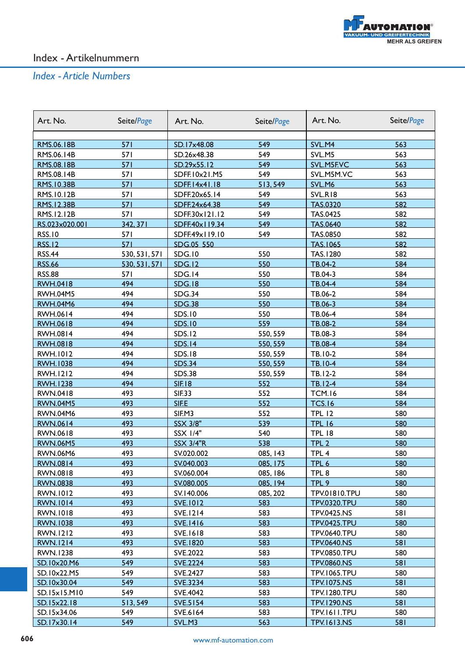

| Art. No.                 | Seite/Page        | Art. No.                   | Seite/Page      | Art. No.            | Seite/Page |
|--------------------------|-------------------|----------------------------|-----------------|---------------------|------------|
|                          |                   |                            |                 |                     |            |
| RMS.06.18B<br>RMS.06.14B | 571<br><b>571</b> | SD.17x48.08                | 549             | SVL.M4              | 563        |
|                          |                   | SD.26x48.38<br>SD.29x55.12 | 549             | SVL.M5              | 563        |
| RMS.08.18B               | 571               |                            | 549<br>549      | SVL.M5F.VC          | 563        |
| RMS.08.14B               | 571               | SDFF.10x21.M5              |                 | SVL.M5M.VC          | 563        |
| RMS.10.38B               | 571               | SDFF.14x41.18              | 513,549         | SVL.M6              | 563        |
| RMS.10.12B               | 571               | SDFF.20x65.14              | 549             | SVL.RI8             | 563        |
| RMS.12.38B               | 571               | SDFF.24x64.38              | 549             | <b>TAS.0320</b>     | 582        |
| RMS.12.12B               | <b>571</b>        | SDFF.30x121.12             | 549             | <b>TAS.0425</b>     | 582        |
| RS.023x020.001           | 342.371           | SDFF.40x119.34             | 549             | <b>TAS.0640</b>     | 582        |
| <b>RSS.10</b>            | 571               | SDFF.49x119.10             | 549             | TAS.0850            | 582        |
| <b>RSS.12</b>            | 571               | SDG.05 550                 |                 | TAS.1065            | 582        |
| <b>RSS.44</b>            | 530, 531, 571     | <b>SDG.10</b>              | 550             | TAS.1280            | 582        |
| <b>RSS.66</b>            | 530, 531, 571     | <b>SDG.12</b>              | 550             | TB.04-2             | 584        |
| <b>RSS.88</b>            | 571               | SDG.14                     | 550             | TB.04-3             | 584        |
| <b>RWH.0418</b>          | 494               | <b>SDG.18</b>              | 550             | TB.04-4             | 584        |
| <b>RWH.04M5</b>          | 494               | SDG.34                     | 550             | TB.06-2             | 584        |
| <b>RWH.04M6</b>          | 494               | <b>SDG.38</b>              | 550             | TB.06-3             | 584        |
| RWH.0614                 | 494               | <b>SDS.10</b>              | 550             | TB.06-4             | 584        |
| <b>RWH.0618</b>          | 494               | <b>SDS.10</b>              | 559             | TB.08-2             | 584        |
| <b>RWH.0814</b>          | 494               | <b>SDS.12</b>              | 550, 559        | TB.08-3             | 584        |
| <b>RWH.0818</b>          | 494               | <b>SDS.14</b>              | 550, 559        | TB.08-4             | 584        |
| <b>RWH.1012</b>          | 494               | <b>SDS.18</b>              | 550, 559        | TB.10-2             | 584        |
| <b>RWH.1038</b>          | 494               | <b>SDS.34</b>              | 550, 559        | <b>TB.10-4</b>      | 584        |
| <b>RWH.1212</b>          | 494               | <b>SDS.38</b>              | 550, 559        | TB.12-2             | 584        |
| <b>RWH.1238</b>          | 494               | <b>SIF.18</b>              | 552             | $TB.12-4$           | 584        |
| RWN.0418                 | 493               | <b>SIF.33</b>              | 552             | <b>TCM.16</b>       | 584        |
| <b>RWN.04M5</b>          | 493               | SIF.E                      | 552             | <b>TCS.16</b>       | 584        |
| <b>RWN.04M6</b>          | 493               | SIF.M3                     | 552             | <b>TPL 12</b>       | 580        |
| <b>RWN.0614</b>          | 493               | SSX 3/8"                   | 539             | <b>TPL 16</b>       | 580        |
| RWN.0618                 | 493               | SSX 1/4"                   | 540             | <b>TPL 18</b>       | 580        |
| <b>RWN.06M5</b>          | 493               | <b>SSX 3/4"R</b>           | 538             | TPL <sub>2</sub>    | 580        |
| <b>RWN.06M6</b>          | 493               | SV.020.002                 | 085, 143        | TPL <sub>4</sub>    | 580        |
| <u>RWN.0814</u>          | 493               | <u>SV.040.003</u>          | <u>085, I75</u> | TPL 6               | 580        |
| RWN.0818                 | 493               | SV.060.004                 | 085, 186        | TPL 8               | 580        |
| <b>RWN.0838</b>          | 493               | SV.080.005                 | 085, 194        | TPL 9               | 580        |
| RWN.1012                 | 493               | SV.140.006                 | 085, 202        | TPV.01810.TPU       | 580        |
| <b>RWN.1014</b>          | 493               | <b>SVE.1012</b>            | 583             | <b>TPV.0320.TPU</b> | 580        |
| RWN.1018                 | 493               | SVE.1214                   | 583             | <b>TPV.0425.NS</b>  | 581        |
| <b>RWN.1038</b>          | 493               | <b>SVE.1416</b>            | 583             | <b>TPV.0425.TPU</b> | 580        |
| RWN.1212                 | 493               | SVE.1618                   | 583             | <b>TPV.0640.TPU</b> | 580        |
| <b>RWN.1214</b>          | 493               | <b>SVE.1820</b>            | 583             | <b>TPV.0640.NS</b>  | 581        |
| RWN.1238                 | 493               | SVE.2022                   | 583             | <b>TPV.0850.TPU</b> | 580        |
| SD.10x20.M6              | 549               | <b>SVE.2224</b>            | 583             | <b>TPV.0860.NS</b>  | 581        |
| SD.10x22.M5              | 549               | SVE.2427                   | 583             | <b>TPV.1065.TPU</b> | 580        |
| SD.10x30.04              | 549               | SVE.3234                   | 583             | <b>TPV.1075.NS</b>  | 581        |
| SD.15x15.M10             | 549               | SVE.4042                   | 583             | <b>TPV.1280.TPU</b> | 580        |
| SD.15x22.18              | 513,549           | <b>SVE.5154</b>            | 583             | <b>TPV.1290.NS</b>  | 581        |
| SD.15x34.06              | 549               | SVE.6164                   | 583             | TPV.1611.TPU        | 580        |
| SD.17x30.14              | 549               | SVL.M3                     | 563             | <b>TPV.1613.NS</b>  | 581        |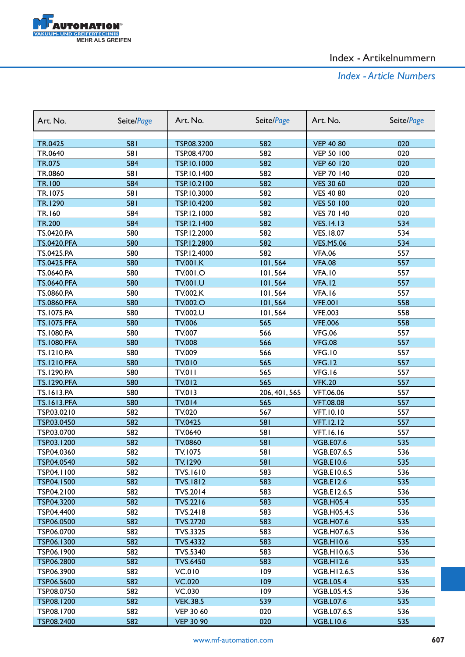

| 582<br>581<br><b>VEP 40 80</b><br>020<br>TR.0425<br>TSP.08.3200<br>581<br>582<br>TR.0640<br>TSP.08.4700<br><b>VEP 50 100</b><br>020<br>584<br>582<br>TR.075<br>TSP.10.1000<br><b>VEP 60 120</b><br>020<br>581<br>582<br><b>VEP 70 140</b><br>020<br>TR.0860<br>TSP.10.1400<br><b>TR.100</b><br>584<br>582<br><b>VES 30 60</b><br>020<br>TSP.10.2100<br>581<br>582<br><b>VES 40 80</b><br>TR.1075<br>TSP.10.3000<br>020<br>581<br>582<br>TR.1290<br>TSP.10.4200<br><b>VES 50 100</b><br>020<br>584<br>582<br>TR.160<br>TSP.12.1000<br><b>VES 70 140</b><br>020<br>582<br>584<br>534<br><b>TR.200</b><br>TSP.12.1400<br><b>VES.14.13</b><br>580<br>582<br>TS.0420.PA<br>TSP.12.2000<br><b>VES.18.07</b><br>534<br>582<br>580<br>TSP.12.2800<br>534<br><b>TS.0420.PFA</b><br><b>VES.M5.06</b><br>580<br>582<br>TS.0425.PA<br>TSP.12.4000<br><b>VFA.06</b><br>557<br>580<br>557<br><b>TS.0425.PFA</b><br><b>TV.001.K</b><br>101,564<br><b>VFA.08</b><br>TS.0640.PA<br>580<br>TV.001.O<br>557<br>101,564<br><b>VFA.10</b><br>580<br>101,564<br>557<br><b>TS.0640.PFA</b><br><b>TV.001.U</b><br>VFA.12<br>580<br>557<br>TS.0860.PA<br><b>TV.002.K</b><br>101,564<br>VFA.16<br>580<br>101,564<br>558<br><b>TS.0860.PFA</b><br><b>TV.002.O</b><br><b>VFE.001</b><br>580<br>558<br>TS.1075.PA<br>TV.002.U<br>101,564<br><b>VFE.003</b><br><b>TS.1075.PFA</b><br>580<br><b>TV.006</b><br>565<br><b>VFE.006</b><br>558<br>580<br>TV.007<br><b>VFG.06</b><br>TS.1080.PA<br>566<br>557<br>580<br>566<br><b>VFG.08</b><br>557<br><b>TS.1080.PFA</b><br><b>TV.008</b><br>580<br>TV.009<br>566<br><b>VFG.10</b><br>557<br>TS.1210.PA<br>565<br>VFG.12<br><b>TS.1210.PFA</b><br>580<br><b>TV.010</b><br>557<br>580<br>565<br>557<br>TS.1290.PA<br><b>TV.011</b><br>VFG.16<br>580<br>565<br><b>TV.012</b><br><b>VFK.20</b><br>557<br><b>TS.1290.PFA</b><br>580<br>VFT.06.06<br>TS.1613.PA<br>TV.013<br>206, 401, 565<br>557 |
|-----------------------------------------------------------------------------------------------------------------------------------------------------------------------------------------------------------------------------------------------------------------------------------------------------------------------------------------------------------------------------------------------------------------------------------------------------------------------------------------------------------------------------------------------------------------------------------------------------------------------------------------------------------------------------------------------------------------------------------------------------------------------------------------------------------------------------------------------------------------------------------------------------------------------------------------------------------------------------------------------------------------------------------------------------------------------------------------------------------------------------------------------------------------------------------------------------------------------------------------------------------------------------------------------------------------------------------------------------------------------------------------------------------------------------------------------------------------------------------------------------------------------------------------------------------------------------------------------------------------------------------------------------------------------------------------------------------------------------------------------------------------------------------------------------------------------------------------------------------------------------------------------------------|
|                                                                                                                                                                                                                                                                                                                                                                                                                                                                                                                                                                                                                                                                                                                                                                                                                                                                                                                                                                                                                                                                                                                                                                                                                                                                                                                                                                                                                                                                                                                                                                                                                                                                                                                                                                                                                                                                                                           |
|                                                                                                                                                                                                                                                                                                                                                                                                                                                                                                                                                                                                                                                                                                                                                                                                                                                                                                                                                                                                                                                                                                                                                                                                                                                                                                                                                                                                                                                                                                                                                                                                                                                                                                                                                                                                                                                                                                           |
|                                                                                                                                                                                                                                                                                                                                                                                                                                                                                                                                                                                                                                                                                                                                                                                                                                                                                                                                                                                                                                                                                                                                                                                                                                                                                                                                                                                                                                                                                                                                                                                                                                                                                                                                                                                                                                                                                                           |
|                                                                                                                                                                                                                                                                                                                                                                                                                                                                                                                                                                                                                                                                                                                                                                                                                                                                                                                                                                                                                                                                                                                                                                                                                                                                                                                                                                                                                                                                                                                                                                                                                                                                                                                                                                                                                                                                                                           |
|                                                                                                                                                                                                                                                                                                                                                                                                                                                                                                                                                                                                                                                                                                                                                                                                                                                                                                                                                                                                                                                                                                                                                                                                                                                                                                                                                                                                                                                                                                                                                                                                                                                                                                                                                                                                                                                                                                           |
|                                                                                                                                                                                                                                                                                                                                                                                                                                                                                                                                                                                                                                                                                                                                                                                                                                                                                                                                                                                                                                                                                                                                                                                                                                                                                                                                                                                                                                                                                                                                                                                                                                                                                                                                                                                                                                                                                                           |
|                                                                                                                                                                                                                                                                                                                                                                                                                                                                                                                                                                                                                                                                                                                                                                                                                                                                                                                                                                                                                                                                                                                                                                                                                                                                                                                                                                                                                                                                                                                                                                                                                                                                                                                                                                                                                                                                                                           |
|                                                                                                                                                                                                                                                                                                                                                                                                                                                                                                                                                                                                                                                                                                                                                                                                                                                                                                                                                                                                                                                                                                                                                                                                                                                                                                                                                                                                                                                                                                                                                                                                                                                                                                                                                                                                                                                                                                           |
|                                                                                                                                                                                                                                                                                                                                                                                                                                                                                                                                                                                                                                                                                                                                                                                                                                                                                                                                                                                                                                                                                                                                                                                                                                                                                                                                                                                                                                                                                                                                                                                                                                                                                                                                                                                                                                                                                                           |
|                                                                                                                                                                                                                                                                                                                                                                                                                                                                                                                                                                                                                                                                                                                                                                                                                                                                                                                                                                                                                                                                                                                                                                                                                                                                                                                                                                                                                                                                                                                                                                                                                                                                                                                                                                                                                                                                                                           |
|                                                                                                                                                                                                                                                                                                                                                                                                                                                                                                                                                                                                                                                                                                                                                                                                                                                                                                                                                                                                                                                                                                                                                                                                                                                                                                                                                                                                                                                                                                                                                                                                                                                                                                                                                                                                                                                                                                           |
|                                                                                                                                                                                                                                                                                                                                                                                                                                                                                                                                                                                                                                                                                                                                                                                                                                                                                                                                                                                                                                                                                                                                                                                                                                                                                                                                                                                                                                                                                                                                                                                                                                                                                                                                                                                                                                                                                                           |
|                                                                                                                                                                                                                                                                                                                                                                                                                                                                                                                                                                                                                                                                                                                                                                                                                                                                                                                                                                                                                                                                                                                                                                                                                                                                                                                                                                                                                                                                                                                                                                                                                                                                                                                                                                                                                                                                                                           |
|                                                                                                                                                                                                                                                                                                                                                                                                                                                                                                                                                                                                                                                                                                                                                                                                                                                                                                                                                                                                                                                                                                                                                                                                                                                                                                                                                                                                                                                                                                                                                                                                                                                                                                                                                                                                                                                                                                           |
|                                                                                                                                                                                                                                                                                                                                                                                                                                                                                                                                                                                                                                                                                                                                                                                                                                                                                                                                                                                                                                                                                                                                                                                                                                                                                                                                                                                                                                                                                                                                                                                                                                                                                                                                                                                                                                                                                                           |
|                                                                                                                                                                                                                                                                                                                                                                                                                                                                                                                                                                                                                                                                                                                                                                                                                                                                                                                                                                                                                                                                                                                                                                                                                                                                                                                                                                                                                                                                                                                                                                                                                                                                                                                                                                                                                                                                                                           |
|                                                                                                                                                                                                                                                                                                                                                                                                                                                                                                                                                                                                                                                                                                                                                                                                                                                                                                                                                                                                                                                                                                                                                                                                                                                                                                                                                                                                                                                                                                                                                                                                                                                                                                                                                                                                                                                                                                           |
|                                                                                                                                                                                                                                                                                                                                                                                                                                                                                                                                                                                                                                                                                                                                                                                                                                                                                                                                                                                                                                                                                                                                                                                                                                                                                                                                                                                                                                                                                                                                                                                                                                                                                                                                                                                                                                                                                                           |
|                                                                                                                                                                                                                                                                                                                                                                                                                                                                                                                                                                                                                                                                                                                                                                                                                                                                                                                                                                                                                                                                                                                                                                                                                                                                                                                                                                                                                                                                                                                                                                                                                                                                                                                                                                                                                                                                                                           |
|                                                                                                                                                                                                                                                                                                                                                                                                                                                                                                                                                                                                                                                                                                                                                                                                                                                                                                                                                                                                                                                                                                                                                                                                                                                                                                                                                                                                                                                                                                                                                                                                                                                                                                                                                                                                                                                                                                           |
|                                                                                                                                                                                                                                                                                                                                                                                                                                                                                                                                                                                                                                                                                                                                                                                                                                                                                                                                                                                                                                                                                                                                                                                                                                                                                                                                                                                                                                                                                                                                                                                                                                                                                                                                                                                                                                                                                                           |
|                                                                                                                                                                                                                                                                                                                                                                                                                                                                                                                                                                                                                                                                                                                                                                                                                                                                                                                                                                                                                                                                                                                                                                                                                                                                                                                                                                                                                                                                                                                                                                                                                                                                                                                                                                                                                                                                                                           |
|                                                                                                                                                                                                                                                                                                                                                                                                                                                                                                                                                                                                                                                                                                                                                                                                                                                                                                                                                                                                                                                                                                                                                                                                                                                                                                                                                                                                                                                                                                                                                                                                                                                                                                                                                                                                                                                                                                           |
|                                                                                                                                                                                                                                                                                                                                                                                                                                                                                                                                                                                                                                                                                                                                                                                                                                                                                                                                                                                                                                                                                                                                                                                                                                                                                                                                                                                                                                                                                                                                                                                                                                                                                                                                                                                                                                                                                                           |
|                                                                                                                                                                                                                                                                                                                                                                                                                                                                                                                                                                                                                                                                                                                                                                                                                                                                                                                                                                                                                                                                                                                                                                                                                                                                                                                                                                                                                                                                                                                                                                                                                                                                                                                                                                                                                                                                                                           |
|                                                                                                                                                                                                                                                                                                                                                                                                                                                                                                                                                                                                                                                                                                                                                                                                                                                                                                                                                                                                                                                                                                                                                                                                                                                                                                                                                                                                                                                                                                                                                                                                                                                                                                                                                                                                                                                                                                           |
|                                                                                                                                                                                                                                                                                                                                                                                                                                                                                                                                                                                                                                                                                                                                                                                                                                                                                                                                                                                                                                                                                                                                                                                                                                                                                                                                                                                                                                                                                                                                                                                                                                                                                                                                                                                                                                                                                                           |
| 580<br>565<br><b>TS.1613.PFA</b><br><b>TV.014</b><br><b>VFT.08.08</b><br>557                                                                                                                                                                                                                                                                                                                                                                                                                                                                                                                                                                                                                                                                                                                                                                                                                                                                                                                                                                                                                                                                                                                                                                                                                                                                                                                                                                                                                                                                                                                                                                                                                                                                                                                                                                                                                              |
| 582<br>TV.020<br>TSP.03.0210<br>567<br><b>VFT.10.10</b><br>557                                                                                                                                                                                                                                                                                                                                                                                                                                                                                                                                                                                                                                                                                                                                                                                                                                                                                                                                                                                                                                                                                                                                                                                                                                                                                                                                                                                                                                                                                                                                                                                                                                                                                                                                                                                                                                            |
| 582<br>581<br><b>TV.0425</b><br><b>VFT.12.12</b><br>557<br>TSP.03.0450                                                                                                                                                                                                                                                                                                                                                                                                                                                                                                                                                                                                                                                                                                                                                                                                                                                                                                                                                                                                                                                                                                                                                                                                                                                                                                                                                                                                                                                                                                                                                                                                                                                                                                                                                                                                                                    |
| 582<br>TV.0640<br>581<br>557<br>TSP.03.0700<br><b>VFT.16.16</b>                                                                                                                                                                                                                                                                                                                                                                                                                                                                                                                                                                                                                                                                                                                                                                                                                                                                                                                                                                                                                                                                                                                                                                                                                                                                                                                                                                                                                                                                                                                                                                                                                                                                                                                                                                                                                                           |
| 582<br>581<br>535<br>TSP.03.1200<br>TV.0860<br><b>VGB.E07.6</b>                                                                                                                                                                                                                                                                                                                                                                                                                                                                                                                                                                                                                                                                                                                                                                                                                                                                                                                                                                                                                                                                                                                                                                                                                                                                                                                                                                                                                                                                                                                                                                                                                                                                                                                                                                                                                                           |
| 582<br>581<br>TSP.04.0360<br>TV.1075<br><b>VGB.E07.6.S</b><br>536                                                                                                                                                                                                                                                                                                                                                                                                                                                                                                                                                                                                                                                                                                                                                                                                                                                                                                                                                                                                                                                                                                                                                                                                                                                                                                                                                                                                                                                                                                                                                                                                                                                                                                                                                                                                                                         |
| 582<br>581<br>535<br><b>TV.1290</b><br>TSP.04.0540<br><b>VGB.E10.6</b>                                                                                                                                                                                                                                                                                                                                                                                                                                                                                                                                                                                                                                                                                                                                                                                                                                                                                                                                                                                                                                                                                                                                                                                                                                                                                                                                                                                                                                                                                                                                                                                                                                                                                                                                                                                                                                    |
| 582<br>583<br>TSP.04.1100<br>TVS.1610<br><b>VGB.E10.6.S</b><br>536                                                                                                                                                                                                                                                                                                                                                                                                                                                                                                                                                                                                                                                                                                                                                                                                                                                                                                                                                                                                                                                                                                                                                                                                                                                                                                                                                                                                                                                                                                                                                                                                                                                                                                                                                                                                                                        |
| 582<br>583<br>TSP.04.1500<br><b>TVS.1812</b><br><b>VGB.E12.6</b><br>535                                                                                                                                                                                                                                                                                                                                                                                                                                                                                                                                                                                                                                                                                                                                                                                                                                                                                                                                                                                                                                                                                                                                                                                                                                                                                                                                                                                                                                                                                                                                                                                                                                                                                                                                                                                                                                   |
| TSP.04.2100<br>582<br>TVS.2014<br>583<br>536<br><b>VGB.E12.6.S</b>                                                                                                                                                                                                                                                                                                                                                                                                                                                                                                                                                                                                                                                                                                                                                                                                                                                                                                                                                                                                                                                                                                                                                                                                                                                                                                                                                                                                                                                                                                                                                                                                                                                                                                                                                                                                                                        |
| 582<br>583<br>TSP.04.3200<br><b>TVS.2216</b><br><b>VGB.H05.4</b><br>535                                                                                                                                                                                                                                                                                                                                                                                                                                                                                                                                                                                                                                                                                                                                                                                                                                                                                                                                                                                                                                                                                                                                                                                                                                                                                                                                                                                                                                                                                                                                                                                                                                                                                                                                                                                                                                   |
| 582<br>583<br>TSP.04.4400<br>TVS.2418<br><b>VGB.H05.4.S</b><br>536                                                                                                                                                                                                                                                                                                                                                                                                                                                                                                                                                                                                                                                                                                                                                                                                                                                                                                                                                                                                                                                                                                                                                                                                                                                                                                                                                                                                                                                                                                                                                                                                                                                                                                                                                                                                                                        |
| 583<br>582<br>535<br>TSP.06.0500<br><b>TVS.2720</b><br><b>VGB.H07.6</b>                                                                                                                                                                                                                                                                                                                                                                                                                                                                                                                                                                                                                                                                                                                                                                                                                                                                                                                                                                                                                                                                                                                                                                                                                                                                                                                                                                                                                                                                                                                                                                                                                                                                                                                                                                                                                                   |
| 583<br>582<br>536<br>TSP.06.0700<br><b>TVS.3325</b><br><b>VGB.H07.6.S</b>                                                                                                                                                                                                                                                                                                                                                                                                                                                                                                                                                                                                                                                                                                                                                                                                                                                                                                                                                                                                                                                                                                                                                                                                                                                                                                                                                                                                                                                                                                                                                                                                                                                                                                                                                                                                                                 |
| TSP.06.1300<br>582<br>583<br>535<br><b>TVS.4332</b><br><b>VGB.H10.6</b>                                                                                                                                                                                                                                                                                                                                                                                                                                                                                                                                                                                                                                                                                                                                                                                                                                                                                                                                                                                                                                                                                                                                                                                                                                                                                                                                                                                                                                                                                                                                                                                                                                                                                                                                                                                                                                   |
| 582<br>583<br>TSP.06.1900<br>TVS.5340<br><b>VGB.H10.6.S</b><br>536                                                                                                                                                                                                                                                                                                                                                                                                                                                                                                                                                                                                                                                                                                                                                                                                                                                                                                                                                                                                                                                                                                                                                                                                                                                                                                                                                                                                                                                                                                                                                                                                                                                                                                                                                                                                                                        |
| 582<br>583<br>535<br>TSP.06.2800<br><b>TVS.6450</b><br><b>VGB.H12.6</b>                                                                                                                                                                                                                                                                                                                                                                                                                                                                                                                                                                                                                                                                                                                                                                                                                                                                                                                                                                                                                                                                                                                                                                                                                                                                                                                                                                                                                                                                                                                                                                                                                                                                                                                                                                                                                                   |
| 582<br><b>VC.010</b><br>109<br>TSP.06.3900<br><b>VGB.H12.6.S</b><br>536                                                                                                                                                                                                                                                                                                                                                                                                                                                                                                                                                                                                                                                                                                                                                                                                                                                                                                                                                                                                                                                                                                                                                                                                                                                                                                                                                                                                                                                                                                                                                                                                                                                                                                                                                                                                                                   |
| 582<br>109<br>535<br>TSP.06.5600<br><b>VC.020</b><br><b>VGB.L05.4</b>                                                                                                                                                                                                                                                                                                                                                                                                                                                                                                                                                                                                                                                                                                                                                                                                                                                                                                                                                                                                                                                                                                                                                                                                                                                                                                                                                                                                                                                                                                                                                                                                                                                                                                                                                                                                                                     |
| 582<br>VC.030<br>109<br>TSP.08.0750<br><b>VGB.L05.4.S</b><br>536                                                                                                                                                                                                                                                                                                                                                                                                                                                                                                                                                                                                                                                                                                                                                                                                                                                                                                                                                                                                                                                                                                                                                                                                                                                                                                                                                                                                                                                                                                                                                                                                                                                                                                                                                                                                                                          |
| 582<br><b>VEK.38.5</b><br>539<br>535<br>TSP.08.1200<br><b>VGB.L07.6</b>                                                                                                                                                                                                                                                                                                                                                                                                                                                                                                                                                                                                                                                                                                                                                                                                                                                                                                                                                                                                                                                                                                                                                                                                                                                                                                                                                                                                                                                                                                                                                                                                                                                                                                                                                                                                                                   |
| 582<br>536<br>TSP.08.1700<br><b>VEP 30 60</b><br>020<br><b>VGB.L07.6.S</b>                                                                                                                                                                                                                                                                                                                                                                                                                                                                                                                                                                                                                                                                                                                                                                                                                                                                                                                                                                                                                                                                                                                                                                                                                                                                                                                                                                                                                                                                                                                                                                                                                                                                                                                                                                                                                                |
| TSP.08.2400<br>582<br><b>VEP 30 90</b><br>020<br><b>VGB.LI0.6</b><br>535                                                                                                                                                                                                                                                                                                                                                                                                                                                                                                                                                                                                                                                                                                                                                                                                                                                                                                                                                                                                                                                                                                                                                                                                                                                                                                                                                                                                                                                                                                                                                                                                                                                                                                                                                                                                                                  |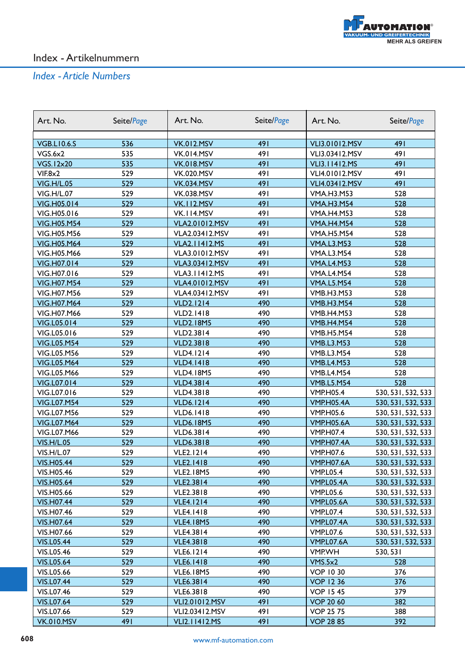

| Art. No.                          | Seite/Page | Art. No.                                | Seite/Page | Art. No.                               | Seite/Page                               |
|-----------------------------------|------------|-----------------------------------------|------------|----------------------------------------|------------------------------------------|
| <b>VGB.LI0.6.S</b>                | 536        |                                         | 491        |                                        | 491                                      |
| VGS.6x2                           | 535        | <b>VK.012.MSV</b><br><b>VK.014.MSV</b>  | 491        | <b>VLI3.01012.MSV</b>                  | 491                                      |
| <b>VGS.12x20</b>                  | 535        | <b>VK.018.MSV</b>                       | 491        | VLI3.03412.MSV<br><b>VLI3.11412.MS</b> | 491                                      |
| VIF.8x2                           | 529        | <b>VK.020.MSV</b>                       | 491        | VLI4.01012.MSV                         | 491                                      |
| <b>VIG.H/L.05</b>                 | 529        | <b>VK.034.MSV</b>                       | 491        | VLI4.03412.MSV                         | 491                                      |
| <b>VIG.H/L.07</b>                 | 529        | <b>VK.038.MSV</b>                       | 491        | <b>VMA.H3.M53</b>                      | 528                                      |
| VIG.H05.014                       | 529        | <b>VK.112.MSV</b>                       | 491        | <b>VMA.H3.M54</b>                      | 528                                      |
| VIG.H05.016                       | 529        | VK.II4.MSV                              | 491        | <b>VMA.H4.M53</b>                      | 528                                      |
| <b>VIG.H05.M54</b>                | 529        | <b>VLA2.01012.MSV</b>                   | 491        | <b>VMA.H4.M54</b>                      | 528                                      |
| VIG.H05.M56                       | 529        | VLA2.03412.MSV                          | 491        | <b>VMA.H5.M54</b>                      | 528                                      |
| <b>VIG.H05.M64</b>                | 529        | <b>VLA2.11412.MS</b>                    | 491        | <b>VMA.L3.M53</b>                      | 528                                      |
| VIG.H05.M66                       | 529        | VLA3.01012.MSV                          | 491        | <b>VMA.L3.M54</b>                      | 528                                      |
| VIG.H07.014                       | 529        | <b>VLA3.03412.MSV</b>                   | 491        | <b>VMA.L4.M53</b>                      | 528                                      |
| VIG.H07.016                       | 529        | VLA3.11412.MS                           | 491        | <b>VMA.L4.M54</b>                      | 528                                      |
| <b>VIG.H07.M54</b>                | 529        |                                         | 491        |                                        | 528                                      |
| VIG.H07.M56                       | 529        | <b>VLA4.01012.MSV</b><br>VLA4.03412.MSV | 491        | <b>VMA.L5.M54</b><br><b>VMB.H3.M53</b> | 528                                      |
|                                   | 529        | <b>VLD2.1214</b>                        | 490        | <b>VMB.H3.M54</b>                      | 528                                      |
| <b>VIG.H07.M64</b><br>VIG.H07.M66 | 529        | <b>VLD2.1418</b>                        | 490        | <b>VMB.H4.M53</b>                      | 528                                      |
|                                   | 529        |                                         | 490        | <b>VMB.H4.M54</b>                      | 528                                      |
| VIG.L05.014<br>VIG.L05.016        | 529        | <b>VLD2.18M5</b><br><b>VLD2.3814</b>    | 490        | <b>VMB.H5.M54</b>                      | 528                                      |
|                                   | 529        |                                         | 490        |                                        | 528                                      |
| <b>VIG.L05.M54</b>                | 529        | <b>VLD2.3818</b>                        | 490        | <b>VMB.L3.M53</b>                      |                                          |
| VIG.L05.M56                       |            | <b>VLD4.1214</b>                        | 490        | <b>VMB.L3.M54</b>                      | 528                                      |
| <b>VIG.L05.M64</b>                | 529        | <b>VLD4.1418</b>                        |            | <b>VMB.L4.M53</b>                      | 528                                      |
| VIG.L05.M66                       | 529<br>529 | <b>VLD4.18M5</b>                        | 490        | <b>VMB.L4.M54</b>                      | 528                                      |
| VIG.L07.014                       |            | <b>VLD4.3814</b>                        | 490        | <b>VMB.L5.M54</b>                      | 528                                      |
| VIG.L07.016                       | 529        | <b>VLD4.3818</b>                        | 490        | <b>VMP.H05.4</b>                       | 530, 531, 532, 533                       |
| <b>VIG.L07.M54</b>                | 529<br>529 | <b>VLD6.1214</b>                        | 490<br>490 | <b>VMP.H05.4A</b>                      | 530, 531, 532, 533                       |
| VIG.L07.M56                       | 529        | <b>VLD6.1418</b>                        | 490        | <b>VMP.H05.6</b><br><b>VMP.H05.6A</b>  | 530, 531, 532, 533                       |
| <b>VIG.L07.M64</b><br>VIG.L07.M66 | 529        | <b>VLD6.18M5</b>                        | 490        | <b>VMP.H07.4</b>                       | 530, 531, 532, 533                       |
| <b>VIS.H/L.05</b>                 | 529        | <b>VLD6.3814</b><br><b>VLD6.3818</b>    | 490        | <b>VMP.H07.4A</b>                      | 530, 531, 532, 533<br>530, 531, 532, 533 |
| <b>VIS.H/L.07</b>                 | 529        | <b>VLE2.1214</b>                        | 490        | <b>VMP.H07.6</b>                       | 530, 531, 532, 533                       |
| <b>VIS.H05.44</b>                 | 529        | <b>VLE2.1418</b>                        | 490        | <b>VMP.H07.6A</b>                      | 530, 531, 532, 533                       |
| VIS.H05.46                        | 529        | <b>VLE2.18M5</b>                        | 490        | <b>VMP.L05.4</b>                       |                                          |
| <b>VIS.H05.64</b>                 | 529        | <b>VLE2.3814</b>                        | 490        | VMP.L05.4A                             | 530, 531, 532, 533<br>530, 531, 532, 533 |
| VIS.H05.66                        | 529        | <b>VLE2.3818</b>                        | 490        | <b>VMP.L05.6</b>                       | 530, 531, 532, 533                       |
| <b>VIS.H07.44</b>                 | 529        | <b>VLE4.1214</b>                        | 490        | VMP.L05.6A                             | 530, 531, 532, 533                       |
| VIS.H07.46                        | 529        | <b>VLE4.1418</b>                        | 490        | <b>VMP.L07.4</b>                       | 530, 531, 532, 533                       |
| <b>VIS.H07.64</b>                 | 529        | <b>VLE4.18M5</b>                        | 490        | VMP.L07.4A                             | 530, 531, 532, 533                       |
| VIS.H07.66                        | 529        | <b>VLE4.3814</b>                        | 490        | <b>VMP.L07.6</b>                       | 530, 531, 532, 533                       |
| <b>VIS.L05.44</b>                 | 529        | <b>VLE4.3818</b>                        | 490        | VMP.L07.6A                             | 530, 531, 532, 533                       |
| <b>VIS.L05.46</b>                 | 529        | <b>VLE6.1214</b>                        | 490        | VMP.WH                                 | 530, 531                                 |
| <b>VIS.L05.64</b>                 | 529        | <b>VLE6.1418</b>                        | 490        | VMS.5x2                                | 528                                      |
| VIS.L05.66                        | 529        |                                         | 490        | <b>VOP 10 30</b>                       | 376                                      |
| <b>VIS.L07.44</b>                 | 529        | <b>VLE6.18M5</b><br><b>VLE6.3814</b>    | 490        | <b>VOP 1236</b>                        | 376                                      |
| VIS.L07.46                        | 529        | <b>VLE6.3818</b>                        | 490        | <b>VOP 1545</b>                        | 379                                      |
| <b>VIS.L07.64</b>                 | 529        | <b>VLI2.01012.MSV</b>                   | 491        | <b>VOP 20 60</b>                       | 382                                      |
| VIS.L07.66                        | 529        | VLI2.03412.MSV                          | 491        | <b>VOP 25 75</b>                       | 388                                      |
| <b>VK.010.MSV</b>                 | 491        | <b>VLI2.11412.MS</b>                    | 491        | <b>VOP 28 85</b>                       | 392                                      |